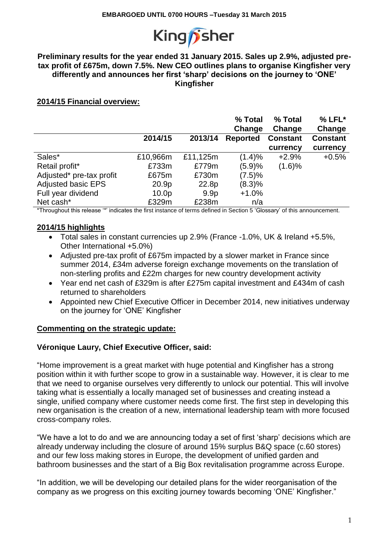

#### **Preliminary results for the year ended 31 January 2015. Sales up 2.9%, adjusted pretax profit of £675m, down 7.5%. New CEO outlines plans to organise Kingfisher very differently and announces her first 'sharp' decisions on the journey to 'ONE' Kingfisher**

## **2014/15 Financial overview:**

|                           |                   |                  | % Total<br>Change | % Total<br>Change | $%$ LFL $*$<br>Change |
|---------------------------|-------------------|------------------|-------------------|-------------------|-----------------------|
|                           | 2014/15           | 2013/14          | <b>Reported</b>   | <b>Constant</b>   | <b>Constant</b>       |
|                           |                   |                  |                   | currency          | currency              |
| Sales*                    | £10,966m          | £11,125m         | (1.4)%            | $+2.9%$           | $+0.5%$               |
| Retail profit*            | £733m             | £779m            | (5.9)%            | (1.6)%            |                       |
| Adjusted* pre-tax profit  | £675m             | £730m            | (7.5)%            |                   |                       |
| <b>Adjusted basic EPS</b> | 20.9p             | 22.8p            | (8.3)%            |                   |                       |
| Full year dividend        | 10.0 <sub>p</sub> | 9.9 <sub>p</sub> | $+1.0%$           |                   |                       |
| Net cash*                 | £329m             | £238m            | n/a               |                   |                       |

\*Throughout this release '\*' indicates the first instance of terms defined in Section 5 'Glossary' of this announcement.

### **2014/15 highlights**

- Total sales in constant currencies up 2.9% (France -1.0%, UK & Ireland +5.5%, Other International +5.0%)
- Adjusted pre-tax profit of £675m impacted by a slower market in France since summer 2014, £34m adverse foreign exchange movements on the translation of non-sterling profits and £22m charges for new country development activity
- Year end net cash of £329m is after £275m capital investment and £434m of cash returned to shareholders
- Appointed new Chief Executive Officer in December 2014, new initiatives underway on the journey for 'ONE' Kingfisher

## **Commenting on the strategic update:**

### **Véronique Laury, Chief Executive Officer, said:**

"Home improvement is a great market with huge potential and Kingfisher has a strong position within it with further scope to grow in a sustainable way. However, it is clear to me that we need to organise ourselves very differently to unlock our potential. This will involve taking what is essentially a locally managed set of businesses and creating instead a single, unified company where customer needs come first. The first step in developing this new organisation is the creation of a new, international leadership team with more focused cross-company roles.

"We have a lot to do and we are announcing today a set of first 'sharp' decisions which are already underway including the closure of around 15% surplus B&Q space (c.60 stores) and our few loss making stores in Europe, the development of unified garden and bathroom businesses and the start of a Big Box revitalisation programme across Europe.

"In addition, we will be developing our detailed plans for the wider reorganisation of the company as we progress on this exciting journey towards becoming 'ONE' Kingfisher."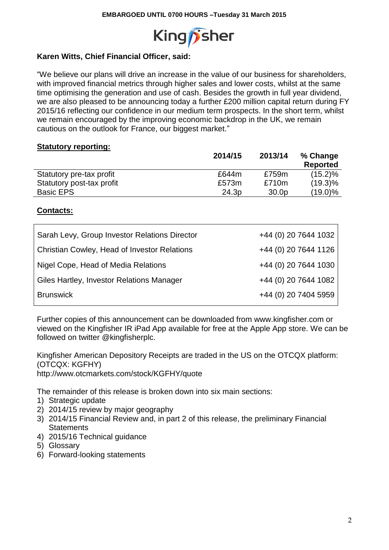

# **Karen Witts, Chief Financial Officer, said:**

"We believe our plans will drive an increase in the value of our business for shareholders, with improved financial metrics through higher sales and lower costs, whilst at the same time optimising the generation and use of cash. Besides the growth in full year dividend, we are also pleased to be announcing today a further £200 million capital return during FY 2015/16 reflecting our confidence in our medium term prospects. In the short term, whilst we remain encouraged by the improving economic backdrop in the UK, we remain cautious on the outlook for France, our biggest market."

## **Statutory reporting:**

|                           | 2014/15 | 2013/14           | % Change        |
|---------------------------|---------|-------------------|-----------------|
|                           |         |                   | <b>Reported</b> |
| Statutory pre-tax profit  | £644m   | £759m             | $(15.2)\%$      |
| Statutory post-tax profit | £573m   | £710m             | $(19.3)\%$      |
| Basic EPS                 | 24.3p   | 30.0 <sub>p</sub> | $(19.0)\%$      |

## **Contacts:**

| Sarah Levy, Group Investor Relations Director       | +44 (0) 20 7644 1032 |
|-----------------------------------------------------|----------------------|
| <b>Christian Cowley, Head of Investor Relations</b> | +44 (0) 20 7644 1126 |
| Nigel Cope, Head of Media Relations                 | +44 (0) 20 7644 1030 |
| Giles Hartley, Investor Relations Manager           | +44 (0) 20 7644 1082 |
| <b>Brunswick</b>                                    | +44 (0) 20 7404 5959 |

Further copies of this announcement can be downloaded from www.kingfisher.com or viewed on the Kingfisher IR iPad App available for free at the Apple App store. We can be followed on twitter @kingfisherplc.

Kingfisher American Depository Receipts are traded in the US on the OTCQX platform: (OTCQX: KGFHY) http://www.otcmarkets.com/stock/KGFHY/quote

The remainder of this release is broken down into six main sections:

- 1) Strategic update
- 2) 2014/15 review by major geography
- 3) 2014/15 Financial Review and, in part 2 of this release, the preliminary Financial **Statements**
- 4) 2015/16 Technical guidance
- 5) Glossary
- 6) Forward-looking statements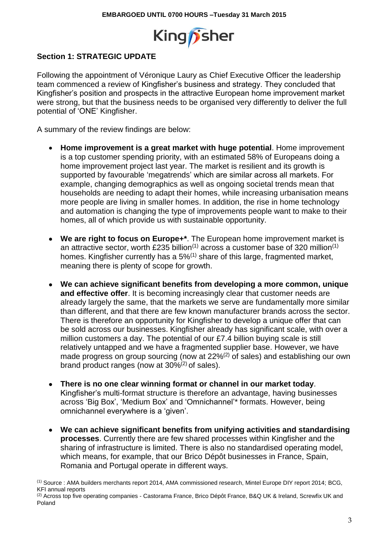

# **Section 1: STRATEGIC UPDATE**

Following the appointment of Véronique Laury as Chief Executive Officer the leadership team commenced a review of Kingfisher's business and strategy. They concluded that Kingfisher's position and prospects in the attractive European home improvement market were strong, but that the business needs to be organised very differently to deliver the full potential of 'ONE' Kingfisher.

A summary of the review findings are below:

- **Home improvement is a great market with huge potential**. Home improvement is a top customer spending priority, with an estimated 58% of Europeans doing a home improvement project last year. The market is resilient and its growth is supported by favourable 'megatrends' which are similar across all markets. For example, changing demographics as well as ongoing societal trends mean that households are needing to adapt their homes, while increasing urbanisation means more people are living in smaller homes. In addition, the rise in home technology and automation is changing the type of improvements people want to make to their homes, all of which provide us with sustainable opportunity.
- **We are right to focus on Europe+\***. The European home improvement market is an attractive sector, worth £235 billion<sup> $(1)$ </sup> across a customer base of 320 million<sup> $(1)$ </sup> homes. Kingfisher currently has a  $5\%$ <sup>(1)</sup> share of this large, fragmented market, meaning there is plenty of scope for growth.
- **We can achieve significant benefits from developing a more common, unique and effective offer**. It is becoming increasingly clear that customer needs are already largely the same, that the markets we serve are fundamentally more similar than different, and that there are few known manufacturer brands across the sector. There is therefore an opportunity for Kingfisher to develop a unique offer that can be sold across our businesses. Kingfisher already has significant scale, with over a million customers a day. The potential of our £7.4 billion buying scale is still relatively untapped and we have a fragmented supplier base. However, we have made progress on group sourcing (now at 22%<sup>(2)</sup> of sales) and establishing our own brand product ranges (now at 30%(2) of sales).
- **There is no one clear winning format or channel in our market today**. Kingfisher's multi-format structure is therefore an advantage, having businesses across 'Big Box', 'Medium Box' and 'Omnichannel'\* formats. However, being omnichannel everywhere is a 'given'.
- **We can achieve significant benefits from unifying activities and standardising processes**. Currently there are few shared processes within Kingfisher and the sharing of infrastructure is limited. There is also no standardised operating model, which means, for example, that our Brico Dépôt businesses in France, Spain, Romania and Portugal operate in different ways.

<sup>(1)</sup> Source : AMA builders merchants report 2014, AMA commissioned research, Mintel Europe DIY report 2014; BCG, KFI annual reports

<sup>(2)</sup> Across top five operating companies - Castorama France, Brico Dépôt France, B&Q UK & Ireland, Screwfix UK and Poland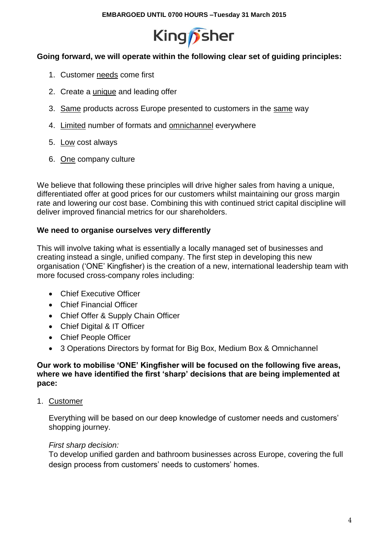

# **Going forward, we will operate within the following clear set of guiding principles:**

- 1. Customer needs come first
- 2. Create a unique and leading offer
- 3. Same products across Europe presented to customers in the same way
- 4. Limited number of formats and omnichannel everywhere
- 5. Low cost always
- 6. One company culture

We believe that following these principles will drive higher sales from having a unique, differentiated offer at good prices for our customers whilst maintaining our gross margin rate and lowering our cost base. Combining this with continued strict capital discipline will deliver improved financial metrics for our shareholders.

# **We need to organise ourselves very differently**

This will involve taking what is essentially a locally managed set of businesses and creating instead a single, unified company. The first step in developing this new organisation ('ONE' Kingfisher) is the creation of a new, international leadership team with more focused cross-company roles including:

- Chief Executive Officer
- Chief Financial Officer
- Chief Offer & Supply Chain Officer
- Chief Digital & IT Officer
- Chief People Officer
- 3 Operations Directors by format for Big Box, Medium Box & Omnichannel

## **Our work to mobilise 'ONE' Kingfisher will be focused on the following five areas, where we have identified the first 'sharp' decisions that are being implemented at pace:**

1. Customer

Everything will be based on our deep knowledge of customer needs and customers' shopping journey.

# *First sharp decision:*

To develop unified garden and bathroom businesses across Europe, covering the full design process from customers' needs to customers' homes.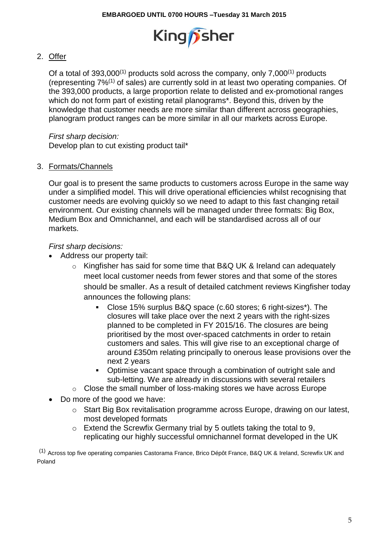

# 2. Offer

Of a total of  $393,000^{(1)}$  products sold across the company, only  $7,000^{(1)}$  products (representing 7%(1) of sales) are currently sold in at least two operating companies. Of the 393,000 products, a large proportion relate to delisted and ex-promotional ranges which do not form part of existing retail planograms\*. Beyond this, driven by the knowledge that customer needs are more similar than different across geographies, planogram product ranges can be more similar in all our markets across Europe.

## *First sharp decision:*

Develop plan to cut existing product tail\*

## 3. Formats/Channels

Our goal is to present the same products to customers across Europe in the same way under a simplified model. This will drive operational efficiencies whilst recognising that customer needs are evolving quickly so we need to adapt to this fast changing retail environment. Our existing channels will be managed under three formats: Big Box, Medium Box and Omnichannel, and each will be standardised across all of our markets.

## *First sharp decisions:*

- Address our property tail:
	- o Kingfisher has said for some time that B&Q UK & Ireland can adequately meet local customer needs from fewer stores and that some of the stores should be smaller. As a result of detailed catchment reviews Kingfisher today announces the following plans:
		- Close 15% surplus B&Q space (c.60 stores; 6 right-sizes\*). The closures will take place over the next 2 years with the right-sizes planned to be completed in FY 2015/16. The closures are being prioritised by the most over-spaced catchments in order to retain customers and sales. This will give rise to an exceptional charge of around £350m relating principally to onerous lease provisions over the next 2 years
		- Optimise vacant space through a combination of outright sale and sub-letting. We are already in discussions with several retailers
	- o Close the small number of loss-making stores we have across Europe
- Do more of the good we have:
	- o Start Big Box revitalisation programme across Europe, drawing on our latest, most developed formats
	- o Extend the Screwfix Germany trial by 5 outlets taking the total to 9, replicating our highly successful omnichannel format developed in the UK

(1) Across top five operating companies Castorama France, Brico Dépôt France, B&Q UK & Ireland, Screwfix UK and Poland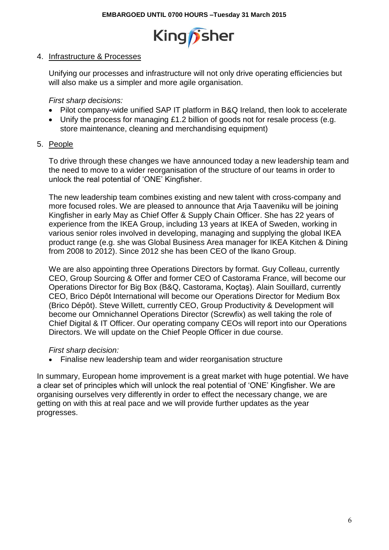

## 4. Infrastructure & Processes

Unifying our processes and infrastructure will not only drive operating efficiencies but will also make us a simpler and more agile organisation.

*First sharp decisions:*

- Pilot company-wide unified SAP IT platform in B&Q Ireland, then look to accelerate
- Unify the process for managing £1.2 billion of goods not for resale process (e.g. store maintenance, cleaning and merchandising equipment)
- 5. People

To drive through these changes we have announced today a new leadership team and the need to move to a wider reorganisation of the structure of our teams in order to unlock the real potential of 'ONE' Kingfisher.

The new leadership team combines existing and new talent with cross-company and more focused roles. We are pleased to announce that Arja Taaveniku will be joining Kingfisher in early May as Chief Offer & Supply Chain Officer. She has 22 years of experience from the IKEA Group, including 13 years at IKEA of Sweden, working in various senior roles involved in developing, managing and supplying the global IKEA product range (e.g. she was Global Business Area manager for IKEA Kitchen & Dining from 2008 to 2012). Since 2012 she has been CEO of the Ikano Group.

We are also appointing three Operations Directors by format. Guy Colleau, currently CEO, Group Sourcing & Offer and former CEO of Castorama France, will become our Operations Director for Big Box (B&Q, Castorama, Koçtaş). Alain Souillard, currently CEO, Brico Dépôt International will become our Operations Director for Medium Box (Brico Dépôt). Steve Willett, currently CEO, Group Productivity & Development will become our Omnichannel Operations Director (Screwfix) as well taking the role of Chief Digital & IT Officer. Our operating company CEOs will report into our Operations Directors. We will update on the Chief People Officer in due course.

*First sharp decision:*

• Finalise new leadership team and wider reorganisation structure

In summary, European home improvement is a great market with huge potential. We have a clear set of principles which will unlock the real potential of 'ONE' Kingfisher. We are organising ourselves very differently in order to effect the necessary change, we are getting on with this at real pace and we will provide further updates as the year progresses.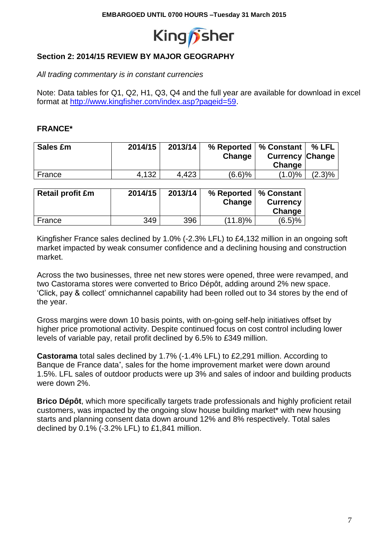

# **Section 2: 2014/15 REVIEW BY MAJOR GEOGRAPHY**

*All trading commentary is in constant currencies*

Note: Data tables for Q1, Q2, H1, Q3, Q4 and the full year are available for download in excel format at [http://www.kingfisher.com/index.asp?pageid=59.](http://www.kingfisher.com/index.asp?pageid=59)

## **FRANCE\***

| Sales £m | 2014/15 | 2013/14 | Change | % Reported   % Constant  <br><b>Currency Change</b><br>Change | % LFL     |
|----------|---------|---------|--------|---------------------------------------------------------------|-----------|
| France   | 4,132   | 4,423   | (6.6)% | $(1.0)\%$                                                     | $(2.3)\%$ |

| <b>Retail profit £m</b> | 2014/15 | 2013/14 | % Reported   % Constant<br>Change | <b>Currency</b><br>Change |
|-------------------------|---------|---------|-----------------------------------|---------------------------|
| France                  | 349     | 396     | $(11.8)\%$                        | (6.5)%                    |

Kingfisher France sales declined by 1.0% (-2.3% LFL) to £4,132 million in an ongoing soft market impacted by weak consumer confidence and a declining housing and construction market.

Across the two businesses, three net new stores were opened, three were revamped, and two Castorama stores were converted to Brico Dépôt, adding around 2% new space. 'Click, pay & collect' omnichannel capability had been rolled out to 34 stores by the end of the year.

Gross margins were down 10 basis points, with on-going self-help initiatives offset by higher price promotional activity. Despite continued focus on cost control including lower levels of variable pay, retail profit declined by 6.5% to £349 million.

**Castorama** total sales declined by 1.7% (-1.4% LFL) to £2,291 million. According to Banque de France data<sup>\*</sup>, sales for the home improvement market were down around 1.5%. LFL sales of outdoor products were up 3% and sales of indoor and building products were down 2%.

**Brico Dépôt**, which more specifically targets trade professionals and highly proficient retail customers, was impacted by the ongoing slow house building market\* with new housing starts and planning consent data down around 12% and 8% respectively. Total sales declined by 0.1% (-3.2% LFL) to £1,841 million.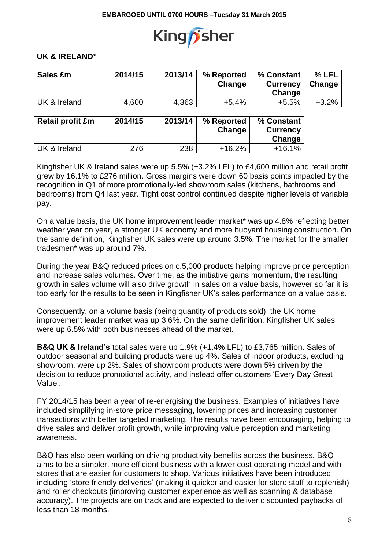

## **UK & IRELAND\***

| Sales £m                | 2014/15 | 2013/14 | % Reported<br>Change | % Constant<br><b>Currency</b><br>Change | % LFL<br>Change |
|-------------------------|---------|---------|----------------------|-----------------------------------------|-----------------|
| UK & Ireland            | 4,600   | 4,363   | $+5.4%$              | $+5.5%$                                 | $+3.2%$         |
| <b>Retail profit £m</b> | 2014/15 | 2013/14 | % Reported<br>Change | % Constant<br><b>Currency</b><br>Change |                 |
| UK & Ireland            | 276     | 238     | $+16.2%$             | $+16.1%$                                |                 |

Kingfisher UK & Ireland sales were up 5.5% (+3.2% LFL) to £4,600 million and retail profit grew by 16.1% to £276 million. Gross margins were down 60 basis points impacted by the recognition in Q1 of more promotionally-led showroom sales (kitchens, bathrooms and bedrooms) from Q4 last year. Tight cost control continued despite higher levels of variable pay.

On a value basis, the UK home improvement leader market\* was up 4.8% reflecting better weather year on year, a stronger UK economy and more buoyant housing construction. On the same definition, Kingfisher UK sales were up around 3.5%. The market for the smaller tradesmen\* was up around 7%.

During the year B&Q reduced prices on c.5,000 products helping improve price perception and increase sales volumes. Over time, as the initiative gains momentum, the resulting growth in sales volume will also drive growth in sales on a value basis, however so far it is too early for the results to be seen in Kingfisher UK's sales performance on a value basis.

Consequently, on a volume basis (being quantity of products sold), the UK home improvement leader market was up 3.6%. On the same definition, Kingfisher UK sales were up 6.5% with both businesses ahead of the market.

**B&Q UK & Ireland's** total sales were up 1.9% (+1.4% LFL) to £3,765 million. Sales of outdoor seasonal and building products were up 4%. Sales of indoor products, excluding showroom, were up 2%. Sales of showroom products were down 5% driven by the decision to reduce promotional activity, and instead offer customers 'Every Day Great Value'.

FY 2014/15 has been a year of re-energising the business. Examples of initiatives have included simplifying in-store price messaging, lowering prices and increasing customer transactions with better targeted marketing. The results have been encouraging, helping to drive sales and deliver profit growth, while improving value perception and marketing awareness.

B&Q has also been working on driving productivity benefits across the business. B&Q aims to be a simpler, more efficient business with a lower cost operating model and with stores that are easier for customers to shop. Various initiatives have been introduced including 'store friendly deliveries' (making it quicker and easier for store staff to replenish) and roller checkouts (improving customer experience as well as scanning & database accuracy). The projects are on track and are expected to deliver discounted paybacks of less than 18 months.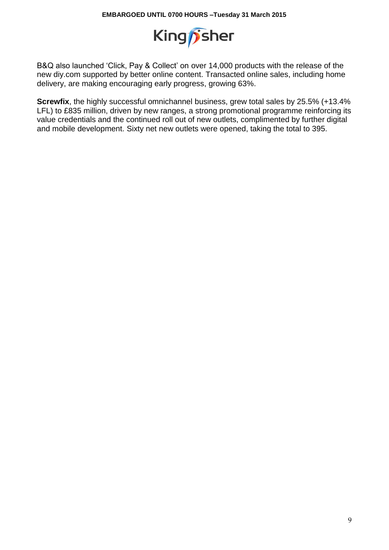

B&Q also launched 'Click, Pay & Collect' on over 14,000 products with the release of the new diy.com supported by better online content. Transacted online sales, including home delivery, are making encouraging early progress, growing 63%.

**Screwfix**, the highly successful omnichannel business, grew total sales by 25.5% (+13.4% LFL) to £835 million, driven by new ranges, a strong promotional programme reinforcing its value credentials and the continued roll out of new outlets, complimented by further digital and mobile development. Sixty net new outlets were opened, taking the total to 395.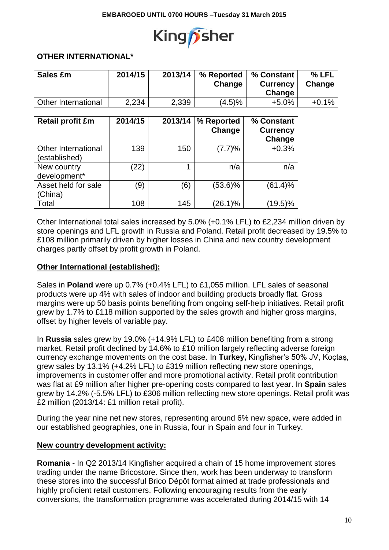

## **OTHER INTERNATIONAL\***

| Sales £m            | 2014/15 | 2013/14 | % Reported<br>Change | % Constant<br><b>Currency</b><br>Change | % LFL<br>Change |
|---------------------|---------|---------|----------------------|-----------------------------------------|-----------------|
| Other International | 2,234   | 2,339   | (4.5)%               | $+5.0%$                                 | $+0.1%$         |

| <b>Retail profit £m</b>              | 2014/15 | 2013/14 | % Reported<br>Change | % Constant<br><b>Currency</b><br>Change |
|--------------------------------------|---------|---------|----------------------|-----------------------------------------|
| Other International<br>(established) | 139     | 150     | (7.7)%               | $+0.3%$                                 |
| New country<br>development*          | (22)    |         | n/a                  | n/a                                     |
| Asset held for sale<br>(China)       | (9      | (6)     | $(53.6)\%$           | (61.4)%                                 |
| Total                                | 108     | 145     | $(26.1)\%$           | $(19.5)\%$                              |

Other International total sales increased by 5.0% (+0.1% LFL) to £2,234 million driven by store openings and LFL growth in Russia and Poland. Retail profit decreased by 19.5% to £108 million primarily driven by higher losses in China and new country development charges partly offset by profit growth in Poland.

### **Other International (established):**

Sales in **Poland** were up 0.7% (+0.4% LFL) to £1,055 million. LFL sales of seasonal products were up 4% with sales of indoor and building products broadly flat. Gross margins were up 50 basis points benefiting from ongoing self-help initiatives. Retail profit grew by 1.7% to £118 million supported by the sales growth and higher gross margins, offset by higher levels of variable pay.

In **Russia** sales grew by 19.0% (+14.9% LFL) to £408 million benefiting from a strong market. Retail profit declined by 14.6% to £10 million largely reflecting adverse foreign currency exchange movements on the cost base. In **Turkey,** Kingfisher's 50% JV, Koçtaş, grew sales by 13.1% (+4.2% LFL) to £319 million reflecting new store openings, improvements in customer offer and more promotional activity. Retail profit contribution was flat at £9 million after higher pre-opening costs compared to last year. In **Spain** sales grew by 14.2% (-5.5% LFL) to £306 million reflecting new store openings. Retail profit was £2 million (2013/14: £1 million retail profit).

During the year nine net new stores, representing around 6% new space, were added in our established geographies, one in Russia, four in Spain and four in Turkey.

### **New country development activity:**

**Romania** - In Q2 2013/14 Kingfisher acquired a chain of 15 home improvement stores trading under the name Bricostore. Since then, work has been underway to transform these stores into the successful Brico Dépôt format aimed at trade professionals and highly proficient retail customers. Following encouraging results from the early conversions, the transformation programme was accelerated during 2014/15 with 14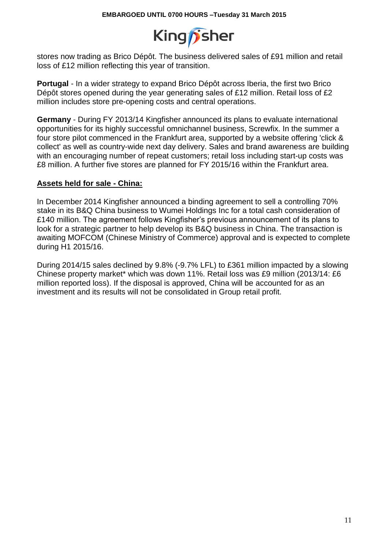

stores now trading as Brico Dépôt. The business delivered sales of £91 million and retail loss of £12 million reflecting this year of transition.

**Portugal** - In a wider strategy to expand Brico Dépôt across Iberia, the first two Brico Dépôt stores opened during the year generating sales of £12 million. Retail loss of £2 million includes store pre-opening costs and central operations.

**Germany** - During FY 2013/14 Kingfisher announced its plans to evaluate international opportunities for its highly successful omnichannel business, Screwfix. In the summer a four store pilot commenced in the Frankfurt area, supported by a website offering 'click & collect' as well as country-wide next day delivery. Sales and brand awareness are building with an encouraging number of repeat customers; retail loss including start-up costs was £8 million. A further five stores are planned for FY 2015/16 within the Frankfurt area.

### **Assets held for sale - China:**

In December 2014 Kingfisher announced a binding agreement to sell a controlling 70% stake in its B&Q China business to Wumei Holdings Inc for a total cash consideration of £140 million. The agreement follows Kingfisher's previous announcement of its plans to look for a strategic partner to help develop its B&Q business in China. The transaction is awaiting MOFCOM (Chinese Ministry of Commerce) approval and is expected to complete during H1 2015/16.

During 2014/15 sales declined by 9.8% (-9.7% LFL) to £361 million impacted by a slowing Chinese property market\* which was down 11%. Retail loss was £9 million (2013/14: £6 million reported loss). If the disposal is approved, China will be accounted for as an investment and its results will not be consolidated in Group retail profit.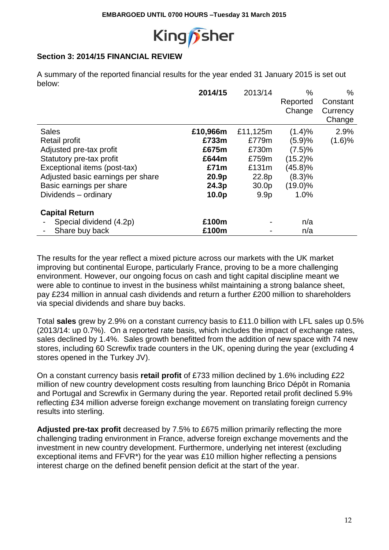

# **Section 3: 2014/15 FINANCIAL REVIEW**

A summary of the reported financial results for the year ended 31 January 2015 is set out below:

|                                   | 2014/15           | 2013/14           | $\%$       | $\%$     |
|-----------------------------------|-------------------|-------------------|------------|----------|
|                                   |                   |                   | Reported   | Constant |
|                                   |                   |                   | Change     | Currency |
|                                   |                   |                   |            | Change   |
| <b>Sales</b>                      | £10,966m          | £11,125m          | (1.4)%     | 2.9%     |
| Retail profit                     | £733m             | £779m             | (5.9)%     | (1.6)%   |
| Adjusted pre-tax profit           | £675m             | £730m             | (7.5)%     |          |
| Statutory pre-tax profit          | £644m             | £759m             | (15.2)%    |          |
| Exceptional items (post-tax)      | £71m              | £131m             | $(45.8)\%$ |          |
| Adjusted basic earnings per share | 20.9 <sub>p</sub> | 22.8p             | (8.3)%     |          |
| Basic earnings per share          | 24.3p             | 30.0 <sub>p</sub> | $(19.0)\%$ |          |
| Dividends - ordinary              | 10.0p             | 9.9 <sub>p</sub>  | 1.0%       |          |
| <b>Capital Return</b>             |                   |                   |            |          |
| Special dividend (4.2p)           | £100m             |                   | n/a        |          |
| Share buy back                    | £100m             |                   | n/a        |          |

The results for the year reflect a mixed picture across our markets with the UK market improving but continental Europe, particularly France, proving to be a more challenging environment. However, our ongoing focus on cash and tight capital discipline meant we were able to continue to invest in the business whilst maintaining a strong balance sheet, pay £234 million in annual cash dividends and return a further £200 million to shareholders via special dividends and share buy backs.

Total **sales** grew by 2.9% on a constant currency basis to £11.0 billion with LFL sales up 0.5% (2013/14: up 0.7%). On a reported rate basis, which includes the impact of exchange rates, sales declined by 1.4%. Sales growth benefitted from the addition of new space with 74 new stores, including 60 Screwfix trade counters in the UK, opening during the year (excluding 4 stores opened in the Turkey JV).

On a constant currency basis **retail profit** of £733 million declined by 1.6% including £22 million of new country development costs resulting from launching Brico Dépôt in Romania and Portugal and Screwfix in Germany during the year. Reported retail profit declined 5.9% reflecting £34 million adverse foreign exchange movement on translating foreign currency results into sterling.

**Adjusted pre-tax profit** decreased by 7.5% to £675 million primarily reflecting the more challenging trading environment in France, adverse foreign exchange movements and the investment in new country development. Furthermore, underlying net interest (excluding exceptional items and FFVR\*) for the year was £10 million higher reflecting a pensions interest charge on the defined benefit pension deficit at the start of the year.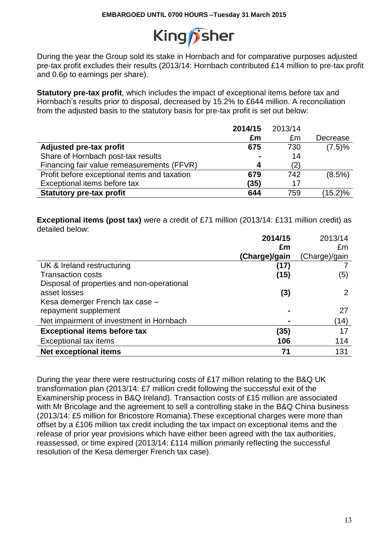

During the year the Group sold its stake in Hornbach and for comparative purposes adjusted pre-tax profit excludes their results (2013/14: Hornbach contributed £14 million to pre-tax profit and 0.6p to earnings per share).

**Statutory pre-tax profit**, which includes the impact of exceptional items before tax and Hornbach's results prior to disposal, decreased by 15.2% to £644 million. A reconciliation from the adjusted basis to the statutory basis for pre-tax profit is set out below:

|                                              | 2014/15        | 2013/14 |            |
|----------------------------------------------|----------------|---------|------------|
|                                              | £m             | £m      | Decrease   |
| Adjusted pre-tax profit                      | 675            | 730     | (7.5)%     |
| Share of Hornbach post-tax results           | $\blacksquare$ | 14      |            |
| Financing fair value remeasurements (FFVR)   | 4              | (2)     |            |
| Profit before exceptional items and taxation | 679            | 742     | $(8.5\%)$  |
| Exceptional items before tax                 | (35)           | 17      |            |
| <b>Statutory pre-tax profit</b>              | 644            | 759     | $(15.2)\%$ |

**Exceptional items (post tax)** were a credit of £71 million (2013/14: £131 million credit) as detailed below:

|                                            | 2014/15       | 2013/14       |
|--------------------------------------------|---------------|---------------|
|                                            | £m            | £m            |
|                                            | (Charge)/gain | (Charge)/gain |
| UK & Ireland restructuring                 | (17)          |               |
| <b>Transaction costs</b>                   | (15)          | (5)           |
| Disposal of properties and non-operational |               |               |
| asset losses                               | (3)           |               |
| Kesa demerger French tax case -            |               |               |
| repayment supplement                       |               | 27            |
| Net impairment of investment in Hornbach   |               | (14)          |
| <b>Exceptional items before tax</b>        | (35)          | 17            |
| <b>Exceptional tax items</b>               | 106           | 114           |
| <b>Net exceptional items</b>               | 71            | 131           |

During the year there were restructuring costs of £17 million relating to the B&Q UK transformation plan (2013/14: £7 million credit following the successful exit of the Examinership process in B&Q Ireland). Transaction costs of £15 million are associated with Mr Bricolage and the agreement to sell a controlling stake in the B&Q China business (2013/14: £5 million for Bricostore Romania).These exceptional charges were more than offset by a £106 million tax credit including the tax impact on exceptional items and the release of prior year provisions which have either been agreed with the tax authorities, reassessed, or time expired (2013/14: £114 million primarily reflecting the successful resolution of the Kesa demerger French tax case).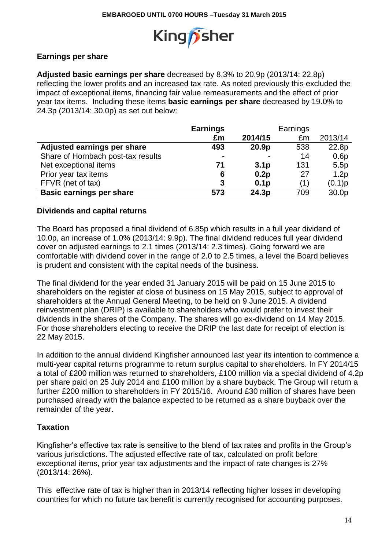

# **Earnings per share**

**Adjusted basic earnings per share** decreased by 8.3% to 20.9p (2013/14: 22.8p) reflecting the lower profits and an increased tax rate. As noted previously this excluded the impact of exceptional items, financing fair value remeasurements and the effect of prior year tax items. Including these items **basic earnings per share** decreased by 19.0% to 24.3p (2013/14: 30.0p) as set out below:

|                                    | <b>Earnings</b> |                   | Earnings |         |
|------------------------------------|-----------------|-------------------|----------|---------|
|                                    | £m              | 2014/15           | £m       | 2013/14 |
| Adjusted earnings per share        | 493             | 20.9 <sub>p</sub> | 538      | 22.8p   |
| Share of Hornbach post-tax results | $\blacksquare$  |                   | 14       | 0.6p    |
| Net exceptional items              | 71              | 3.1 <sub>p</sub>  | 131      | 5.5p    |
| Prior year tax items               | 6               | 0.2p              | 27       | 1.2p    |
| FFVR (net of tax)                  | 3               | 0.1 <sub>p</sub>  |          | (0.1)p  |
| <b>Basic earnings per share</b>    | 573             | 24.3p             | 709      | 30.0p   |

## **Dividends and capital returns**

The Board has proposed a final dividend of 6.85p which results in a full year dividend of 10.0p, an increase of 1.0% (2013/14: 9.9p). The final dividend reduces full year dividend cover on adjusted earnings to 2.1 times (2013/14: 2.3 times). Going forward we are comfortable with dividend cover in the range of 2.0 to 2.5 times, a level the Board believes is prudent and consistent with the capital needs of the business.

The final dividend for the year ended 31 January 2015 will be paid on 15 June 2015 to shareholders on the register at close of business on 15 May 2015, subject to approval of shareholders at the Annual General Meeting, to be held on 9 June 2015. A dividend reinvestment plan (DRIP) is available to shareholders who would prefer to invest their dividends in the shares of the Company. The shares will go ex-dividend on 14 May 2015. For those shareholders electing to receive the DRIP the last date for receipt of election is 22 May 2015.

In addition to the annual dividend Kingfisher announced last year its intention to commence a multi-year capital returns programme to return surplus capital to shareholders. In FY 2014/15 a total of £200 million was returned to shareholders, £100 million via a special dividend of 4.2p per share paid on 25 July 2014 and £100 million by a share buyback. The Group will return a further £200 million to shareholders in FY 2015/16. Around £30 million of shares have been purchased already with the balance expected to be returned as a share buyback over the remainder of the year.

## **Taxation**

Kingfisher's effective tax rate is sensitive to the blend of tax rates and profits in the Group's various jurisdictions. The adjusted effective rate of tax, calculated on profit before exceptional items, prior year tax adjustments and the impact of rate changes is 27% (2013/14: 26%).

This effective rate of tax is higher than in 2013/14 reflecting higher losses in developing countries for which no future tax benefit is currently recognised for accounting purposes.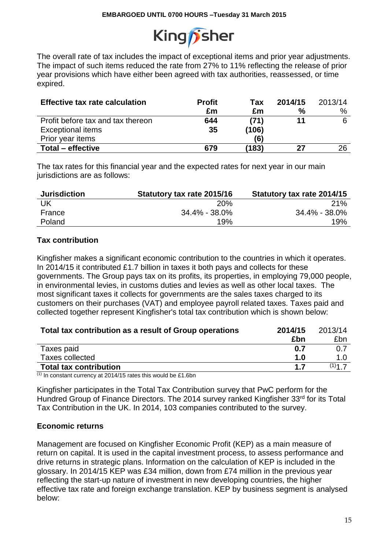

The overall rate of tax includes the impact of exceptional items and prior year adjustments. The impact of such items reduced the rate from 27% to 11% reflecting the release of prior year provisions which have either been agreed with tax authorities, reassessed, or time expired.

| <b>Effective tax rate calculation</b> | <b>Profit</b> | Tax   | 2014/15 | 2013/14 |
|---------------------------------------|---------------|-------|---------|---------|
|                                       | £m            | £m    | %       | %       |
| Profit before tax and tax thereon     | 644           | (71)  |         |         |
| <b>Exceptional items</b>              | 35            | (106) |         |         |
| Prior year items                      |               | (6)   |         |         |
| Total - effective                     | 679           | (183) |         | 26      |

The tax rates for this financial year and the expected rates for next year in our main jurisdictions are as follows:

| <b>Jurisdiction</b> | Statutory tax rate 2015/16 | Statutory tax rate 2014/15 |
|---------------------|----------------------------|----------------------------|
| UK                  | 20%                        | 21%                        |
| France              | 34.4% - 38.0%              | 34.4% - 38.0%              |
| Poland              | 19%                        | 19%                        |

## **Tax contribution**

Kingfisher makes a significant economic contribution to the countries in which it operates. In 2014/15 it contributed £1.7 billion in taxes it both pays and collects for these governments. The Group pays tax on its profits, its properties, in employing 79,000 people, in environmental levies, in customs duties and levies as well as other local taxes. The most significant taxes it collects for governments are the sales taxes charged to its customers on their purchases (VAT) and employee payroll related taxes. Taxes paid and collected together represent Kingfisher's total tax contribution which is shown below:

| Total tax contribution as a result of Group operations                | 2014/15 | 2013/14 |
|-----------------------------------------------------------------------|---------|---------|
|                                                                       | £bn     | £bn     |
| Taxes paid                                                            | 0.7     |         |
| Taxes collected                                                       | 1.0     | 1.0     |
| <b>Total tax contribution</b>                                         | 17      | $(1)$ 1 |
| (4)<br>$\sim$ $\sim$ $\sim$ $\sim$ $\sim$ $\sim$<br>$\cdots$ $\cdots$ |         |         |

 $(1)$  In constant currency at 2014/15 rates this would be £1.6bn

Kingfisher participates in the Total Tax Contribution survey that PwC perform for the Hundred Group of Finance Directors. The 2014 survey ranked Kingfisher 33rd for its Total Tax Contribution in the UK. In 2014, 103 companies contributed to the survey.

### **Economic returns**

Management are focused on Kingfisher Economic Profit (KEP) as a main measure of return on capital. It is used in the capital investment process, to assess performance and drive returns in strategic plans. Information on the calculation of KEP is included in the glossary. In 2014/15 KEP was £34 million, down from £74 million in the previous year reflecting the start-up nature of investment in new developing countries, the higher effective tax rate and foreign exchange translation. KEP by business segment is analysed below: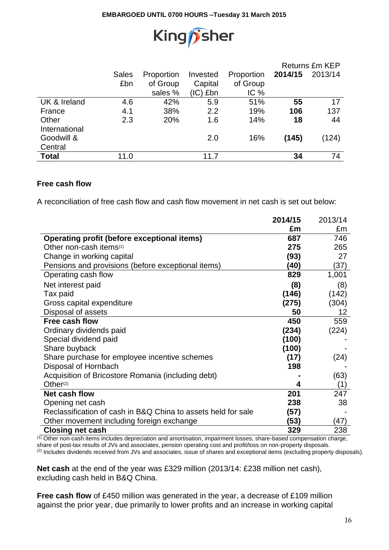

|               |              |            |            |            |         | Returns £m KEP |
|---------------|--------------|------------|------------|------------|---------|----------------|
|               | <b>Sales</b> | Proportion | Invested   | Proportion | 2014/15 | 2013/14        |
|               | £bn          | of Group   | Capital    | of Group   |         |                |
|               |              | sales %    | $(IC)$ £bn | IC%        |         |                |
| UK & Ireland  | 4.6          | 42%        | 5.9        | 51%        | 55      | 17             |
| France        | 4.1          | 38%        | 2.2        | 19%        | 106     | 137            |
| Other         | 2.3          | 20%        | 1.6        | 14%        | 18      | 44             |
| International |              |            |            |            |         |                |
| Goodwill &    |              |            | 2.0        | 16%        | (145)   | (124)          |
| Central       |              |            |            |            |         |                |
| <b>Total</b>  | 11.0         |            | 11.7       |            | 34      | 74             |

### **Free cash flow**

A reconciliation of free cash flow and cash flow movement in net cash is set out below:

|                                                               | 2014/15 | 2013/14 |
|---------------------------------------------------------------|---------|---------|
|                                                               | £m      | £m      |
| <b>Operating profit (before exceptional items)</b>            | 687     | 746     |
| Other non-cash items <sup>(1)</sup>                           | 275     | 265     |
| Change in working capital                                     | (93)    | 27      |
| Pensions and provisions (before exceptional items)            | (40)    | (37)    |
| Operating cash flow                                           | 829     | 1,001   |
| Net interest paid                                             | (8)     | (8)     |
| Tax paid                                                      | (146)   | (142)   |
| Gross capital expenditure                                     | (275)   | (304)   |
| Disposal of assets                                            | 50      | 12      |
| Free cash flow                                                | 450     | 559     |
| Ordinary dividends paid                                       | (234)   | (224)   |
| Special dividend paid                                         | (100)   |         |
| Share buyback                                                 | (100)   |         |
| Share purchase for employee incentive schemes                 | (17)    | (24)    |
| Disposal of Hornbach                                          | 198     |         |
| Acquisition of Bricostore Romania (including debt)            |         | (63)    |
| Other <sup>(2)</sup>                                          | 4       | (1)     |
| <b>Net cash flow</b>                                          | 201     | 247     |
| Opening net cash                                              | 238     | 38      |
| Reclassification of cash in B&Q China to assets held for sale | (57)    |         |
| Other movement including foreign exchange                     | (53)    | (47)    |
| <b>Closing net cash</b>                                       | 329     | 238     |

(1) Other non-cash items includes depreciation and amortisation, impairment losses, share-based compensation charge, share of post-tax results of JVs and associates, pension operating cost and profit/loss on non-property disposals. (2) Includes dividends received from JVs and associates, issue of shares and exceptional items (excluding property disposals).

**Net cash** at the end of the year was £329 million (2013/14: £238 million net cash), excluding cash held in B&Q China.

**Free cash flow** of £450 million was generated in the year, a decrease of £109 million against the prior year, due primarily to lower profits and an increase in working capital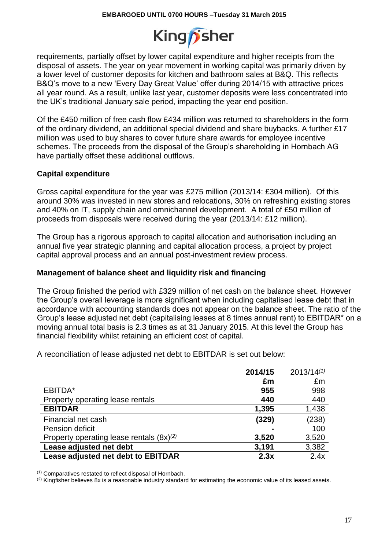

requirements, partially offset by lower capital expenditure and higher receipts from the disposal of assets. The year on year movement in working capital was primarily driven by a lower level of customer deposits for kitchen and bathroom sales at B&Q. This reflects B&Q's move to a new 'Every Day Great Value' offer during 2014/15 with attractive prices all year round. As a result, unlike last year, customer deposits were less concentrated into the UK's traditional January sale period, impacting the year end position.

Of the £450 million of free cash flow £434 million was returned to shareholders in the form of the ordinary dividend, an additional special dividend and share buybacks. A further £17 million was used to buy shares to cover future share awards for employee incentive schemes. The proceeds from the disposal of the Group's shareholding in Hornbach AG have partially offset these additional outflows.

## **Capital expenditure**

Gross capital expenditure for the year was £275 million (2013/14: £304 million). Of this around 30% was invested in new stores and relocations, 30% on refreshing existing stores and 40% on IT, supply chain and omnichannel development. A total of £50 million of proceeds from disposals were received during the year (2013/14: £12 million).

The Group has a rigorous approach to capital allocation and authorisation including an annual five year strategic planning and capital allocation process, a project by project capital approval process and an annual post-investment review process.

### **Management of balance sheet and liquidity risk and financing**

The Group finished the period with £329 million of net cash on the balance sheet. However the Group's overall leverage is more significant when including capitalised lease debt that in accordance with accounting standards does not appear on the balance sheet. The ratio of the Group's lease adjusted net debt (capitalising leases at 8 times annual rent) to EBITDAR\* on a moving annual total basis is 2.3 times as at 31 January 2015. At this level the Group has financial flexibility whilst retaining an efficient cost of capital.

A reconciliation of lease adjusted net debt to EBITDAR is set out below:

|                                               | 2014/15 | $2013/14^{(1)}$ |
|-----------------------------------------------|---------|-----------------|
|                                               | £m      | £m              |
| EBITDA*                                       | 955     | 998             |
| Property operating lease rentals              | 440     | 440             |
| <b>EBITDAR</b>                                | 1,395   | 1,438           |
| Financial net cash                            | (329)   | (238)           |
| Pension deficit                               |         | 100             |
| Property operating lease rentals $(8x)^{(2)}$ | 3,520   | 3,520           |
| Lease adjusted net debt                       | 3,191   | 3,382           |
| Lease adjusted net debt to EBITDAR            | 2.3x    | 2.4x            |

(1) Comparatives restated to reflect disposal of Hornbach.

 $(2)$  Kingfisher believes 8x is a reasonable industry standard for estimating the economic value of its leased assets.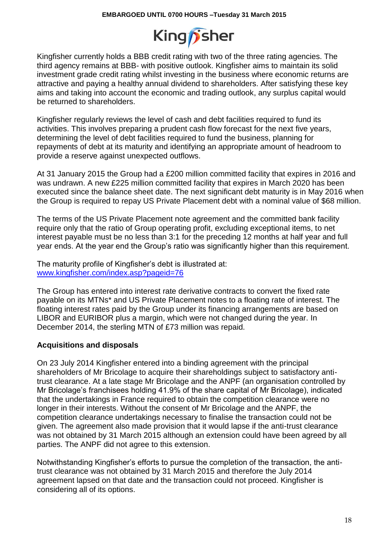

Kingfisher currently holds a BBB credit rating with two of the three rating agencies. The third agency remains at BBB- with positive outlook. Kingfisher aims to maintain its solid investment grade credit rating whilst investing in the business where economic returns are attractive and paying a healthy annual dividend to shareholders. After satisfying these key aims and taking into account the economic and trading outlook, any surplus capital would be returned to shareholders.

Kingfisher regularly reviews the level of cash and debt facilities required to fund its activities. This involves preparing a prudent cash flow forecast for the next five years, determining the level of debt facilities required to fund the business, planning for repayments of debt at its maturity and identifying an appropriate amount of headroom to provide a reserve against unexpected outflows.

At 31 January 2015 the Group had a £200 million committed facility that expires in 2016 and was undrawn. A new £225 million committed facility that expires in March 2020 has been executed since the balance sheet date. The next significant debt maturity is in May 2016 when the Group is required to repay US Private Placement debt with a nominal value of \$68 million.

The terms of the US Private Placement note agreement and the committed bank facility require only that the ratio of Group operating profit, excluding exceptional items, to net interest payable must be no less than 3:1 for the preceding 12 months at half year and full year ends. At the year end the Group's ratio was significantly higher than this requirement.

The maturity profile of Kingfisher's debt is illustrated at: [www.kingfisher.com/index.asp?pageid=76](http://www.kingfisher.com/index.asp?pageid=76)

The Group has entered into interest rate derivative contracts to convert the fixed rate payable on its MTNs\* and US Private Placement notes to a floating rate of interest. The floating interest rates paid by the Group under its financing arrangements are based on LIBOR and EURIBOR plus a margin, which were not changed during the year. In December 2014, the sterling MTN of £73 million was repaid.

## **Acquisitions and disposals**

On 23 July 2014 Kingfisher entered into a binding agreement with the principal shareholders of Mr Bricolage to acquire their shareholdings subject to satisfactory antitrust clearance. At a late stage Mr Bricolage and the ANPF (an organisation controlled by Mr Bricolage's franchisees holding 41.9% of the share capital of Mr Bricolage), indicated that the undertakings in France required to obtain the competition clearance were no longer in their interests. Without the consent of Mr Bricolage and the ANPF, the competition clearance undertakings necessary to finalise the transaction could not be given. The agreement also made provision that it would lapse if the anti-trust clearance was not obtained by 31 March 2015 although an extension could have been agreed by all parties. The ANPF did not agree to this extension.

Notwithstanding Kingfisher's efforts to pursue the completion of the transaction, the antitrust clearance was not obtained by 31 March 2015 and therefore the July 2014 agreement lapsed on that date and the transaction could not proceed. Kingfisher is considering all of its options.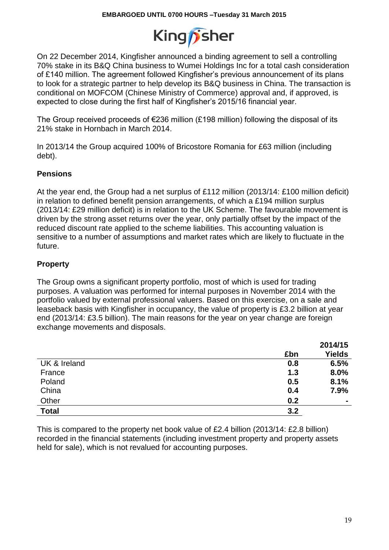

On 22 December 2014, Kingfisher announced a binding agreement to sell a controlling 70% stake in its B&Q China business to Wumei Holdings Inc for a total cash consideration of £140 million. The agreement followed Kingfisher's previous announcement of its plans to look for a strategic partner to help develop its B&Q business in China. The transaction is conditional on MOFCOM (Chinese Ministry of Commerce) approval and, if approved, is expected to close during the first half of Kingfisher's 2015/16 financial year.

The Group received proceeds of  $E$ 236 million (£198 million) following the disposal of its 21% stake in Hornbach in March 2014.

In 2013/14 the Group acquired 100% of Bricostore Romania for £63 million (including debt).

## **Pensions**

At the year end, the Group had a net surplus of £112 million (2013/14: £100 million deficit) in relation to defined benefit pension arrangements, of which a £194 million surplus (2013/14: £29 million deficit) is in relation to the UK Scheme. The favourable movement is driven by the strong asset returns over the year, only partially offset by the impact of the reduced discount rate applied to the scheme liabilities. This accounting valuation is sensitive to a number of assumptions and market rates which are likely to fluctuate in the future.

## **Property**

The Group owns a significant property portfolio, most of which is used for trading purposes. A valuation was performed for internal purposes in November 2014 with the portfolio valued by external professional valuers. Based on this exercise, on a sale and leaseback basis with Kingfisher in occupancy, the value of property is £3.2 billion at year end (2013/14: £3.5 billion). The main reasons for the year on year change are foreign exchange movements and disposals.

|              |     | 2014/15        |
|--------------|-----|----------------|
|              | £bn | <b>Yields</b>  |
| UK & Ireland | 0.8 | 6.5%           |
| France       | 1.3 | 8.0%           |
| Poland       | 0.5 | 8.1%           |
| China        | 0.4 | 7.9%           |
| Other        | 0.2 | $\blacksquare$ |
| <b>Total</b> | 3.2 |                |

This is compared to the property net book value of £2.4 billion (2013/14: £2.8 billion) recorded in the financial statements (including investment property and property assets held for sale), which is not revalued for accounting purposes.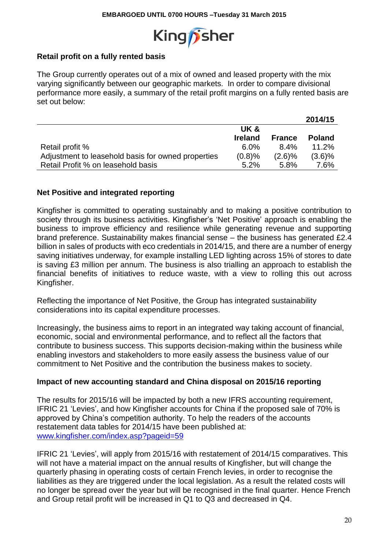

## **Retail profit on a fully rented basis**

The Group currently operates out of a mix of owned and leased property with the mix varying significantly between our geographic markets. In order to compare divisional performance more easily, a summary of the retail profit margins on a fully rented basis are set out below:

|                                                    |                |               | 2014/15       |
|----------------------------------------------------|----------------|---------------|---------------|
|                                                    | UK&            |               |               |
|                                                    | <b>Ireland</b> | <b>France</b> | <b>Poland</b> |
| Retail profit %                                    | $6.0\%$        | $8.4\%$       | 11.2%         |
| Adjustment to leasehold basis for owned properties | (0.8)%         | $(2.6)\%$     | (3.6)%        |
| Retail Profit % on leasehold basis                 | $5.2\%$        | 5.8%          | 7.6%          |

### **Net Positive and integrated reporting**

Kingfisher is committed to operating sustainably and to making a positive contribution to society through its business activities. Kingfisher's 'Net Positive' approach is enabling the business to improve efficiency and resilience while generating revenue and supporting brand preference. Sustainability makes financial sense – the business has generated £2.4 billion in sales of products with eco credentials in 2014/15, and there are a number of energy saving initiatives underway, for example installing LED lighting across 15% of stores to date is saving £3 million per annum. The business is also trialling an approach to establish the financial benefits of initiatives to reduce waste, with a view to rolling this out across Kingfisher.

Reflecting the importance of Net Positive, the Group has integrated sustainability considerations into its capital expenditure processes.

Increasingly, the business aims to report in an integrated way taking account of financial, economic, social and environmental performance, and to reflect all the factors that contribute to business success. This supports decision-making within the business while enabling investors and stakeholders to more easily assess the business value of our commitment to Net Positive and the contribution the business makes to society.

### **Impact of new accounting standard and China disposal on 2015/16 reporting**

The results for 2015/16 will be impacted by both a new IFRS accounting requirement, IFRIC 21 'Levies', and how Kingfisher accounts for China if the proposed sale of 70% is approved by China's competition authority. To help the readers of the accounts restatement data tables for 2014/15 have been published at: www.kingfisher.com/index.asp?pageid=59

IFRIC 21 'Levies', will apply from 2015/16 with restatement of 2014/15 comparatives. This will not have a material impact on the annual results of Kingfisher, but will change the quarterly phasing in operating costs of certain French levies, in order to recognise the liabilities as they are triggered under the local legislation. As a result the related costs will no longer be spread over the year but will be recognised in the final quarter. Hence French and Group retail profit will be increased in Q1 to Q3 and decreased in Q4.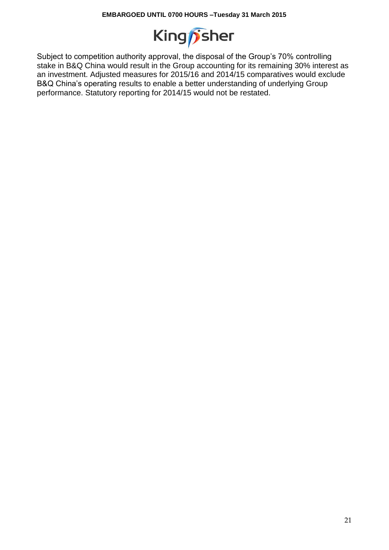

Subject to competition authority approval, the disposal of the Group's 70% controlling stake in B&Q China would result in the Group accounting for its remaining 30% interest as an investment. Adjusted measures for 2015/16 and 2014/15 comparatives would exclude B&Q China's operating results to enable a better understanding of underlying Group performance. Statutory reporting for 2014/15 would not be restated.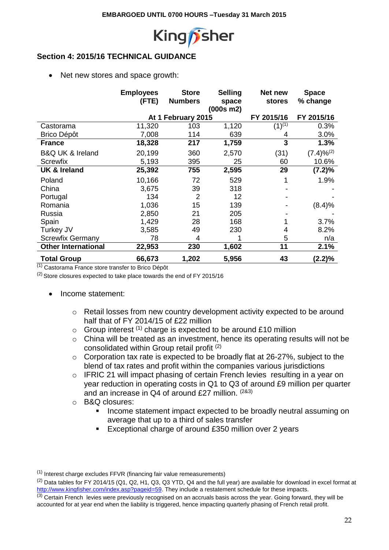

# **Section 4: 2015/16 TECHNICAL GUIDANCE**

• Net new stores and space growth:

|                                 | <b>Employees</b> | <b>Store</b>       | <b>Selling</b> | Net new       | <b>Space</b>    |
|---------------------------------|------------------|--------------------|----------------|---------------|-----------------|
|                                 | (FTE)            | <b>Numbers</b>     | space          | <b>stores</b> | % change        |
|                                 |                  |                    | (000s m2)      |               |                 |
|                                 |                  | At 1 February 2015 |                | FY 2015/16    | FY 2015/16      |
| Castorama                       | 11,320           | 103                | 1,120          | $(1)^{(1)}$   | 0.3%            |
| Brico Dépôt                     | 7,008            | 114                | 639            | 4             | 3.0%            |
| <b>France</b>                   | 18,328           | 217                | 1,759          | 3             | 1.3%            |
| <b>B&amp;Q UK &amp; Ireland</b> | 20,199           | 360                | 2,570          | (31)          | $(7.4)\%^{(2)}$ |
| Screwfix                        | 5,193            | 395                | 25             | 60            | 10.6%           |
| <b>UK &amp; Ireland</b>         | 25,392           | 755                | 2,595          | 29            | (7.2)%          |
| Poland                          | 10,166           | 72                 | 529            |               | 1.9%            |
| China                           | 3,675            | 39                 | 318            |               |                 |
| Portugal                        | 134              | $\overline{2}$     | 12             |               |                 |
| Romania                         | 1,036            | 15                 | 139            |               | (8.4)%          |
| Russia                          | 2,850            | 21                 | 205            |               |                 |
| Spain                           | 1,429            | 28                 | 168            |               | 3.7%            |
| Turkey JV                       | 3,585            | 49                 | 230            | 4             | 8.2%            |
| <b>Screwfix Germany</b>         | 78               | 4                  |                | 5             | n/a             |
| <b>Other International</b>      | 22,953           | 230                | 1,602          | 11            | 2.1%            |
| <b>Total Group</b>              | 66,673           | 1,202              | 5,956          | 43            | (2.2)%          |

 $\overline{^{(1)}}$  Castorama France store transfer to Brico Dépôt

(2) Store closures expected to take place towards the end of FY 2015/16

- Income statement:
	- o Retail losses from new country development activity expected to be around half that of FY 2014/15 of £22 million
	- $\circ$  Group interest <sup>(1)</sup> charge is expected to be around £10 million
	- o China will be treated as an investment, hence its operating results will not be consolidated within Group retail profit (2)
	- o Corporation tax rate is expected to be broadly flat at 26-27%, subject to the blend of tax rates and profit within the companies various jurisdictions
	- o IFRIC 21 will impact phasing of certain French levies resulting in a year on year reduction in operating costs in Q1 to Q3 of around £9 million per quarter and an increase in Q4 of around £27 million. (2&3)
	- o B&Q closures:
		- **If all income statement impact expected to be broadly neutral assuming on** average that up to a third of sales transfer
		- Exceptional charge of around £350 million over 2 years

<sup>(1)</sup> Interest charge excludes FFVR (financing fair value remeasurements)

<sup>(2)</sup> Data tables for FY 2014/15 (Q1, Q2, H1, Q3, Q3 YTD, Q4 and the full year) are available for download in excel format at [http://www.kingfisher.com/index.asp?pageid=59.](http://www.kingfisher.com/index.asp?pageid=59) They include a restatement schedule for these impacts.

 $<sup>(3)</sup>$  Certain French levies were previously recognised on an accruals basis across the year. Going forward, they will be</sup> accounted for at year end when the liability is triggered, hence impacting quarterly phasing of French retail profit.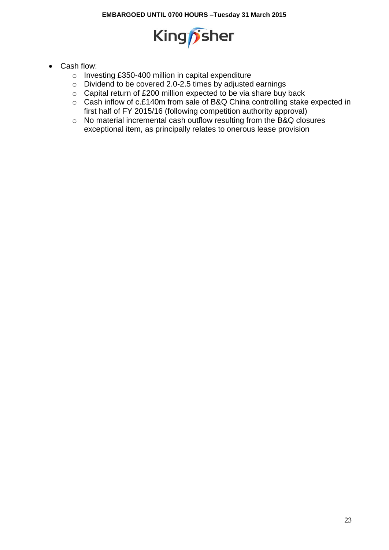

- Cash flow:
	- o Investing £350-400 million in capital expenditure
	- o Dividend to be covered 2.0-2.5 times by adjusted earnings
	- o Capital return of £200 million expected to be via share buy back
	- o Cash inflow of c.£140m from sale of B&Q China controlling stake expected in first half of FY 2015/16 (following competition authority approval)
	- o No material incremental cash outflow resulting from the B&Q closures exceptional item, as principally relates to onerous lease provision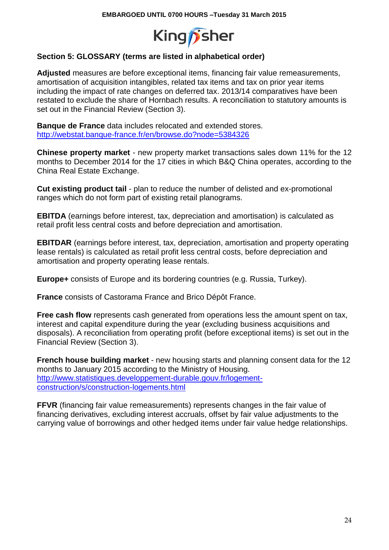

# **Section 5: GLOSSARY (terms are listed in alphabetical order)**

**Adjusted** measures are before exceptional items, financing fair value remeasurements, amortisation of acquisition intangibles, related tax items and tax on prior year items including the impact of rate changes on deferred tax. 2013/14 comparatives have been restated to exclude the share of Hornbach results. A reconciliation to statutory amounts is set out in the Financial Review (Section 3).

**Banque de France** data includes relocated and extended stores. <http://webstat.banque-france.fr/en/browse.do?node=5384326>

**Chinese property market** - new property market transactions sales down 11% for the 12 months to December 2014 for the 17 cities in which B&Q China operates, according to the China Real Estate Exchange.

**Cut existing product tail** - plan to reduce the number of delisted and ex-promotional ranges which do not form part of existing retail planograms.

**EBITDA** (earnings before interest, tax, depreciation and amortisation) is calculated as retail profit less central costs and before depreciation and amortisation.

**EBITDAR** (earnings before interest, tax, depreciation, amortisation and property operating lease rentals) is calculated as retail profit less central costs, before depreciation and amortisation and property operating lease rentals.

**Europe+** consists of Europe and its bordering countries (e.g. Russia, Turkey).

**France** consists of Castorama France and Brico Dépôt France.

**Free cash flow** represents cash generated from operations less the amount spent on tax, interest and capital expenditure during the year (excluding business acquisitions and disposals). A reconciliation from operating profit (before exceptional items) is set out in the Financial Review (Section 3).

**French house building market** - new housing starts and planning consent data for the 12 months to January 2015 according to the Ministry of Housing. [http://www.statistiques.developpement-durable.gouv.fr/logement](http://www.statistiques.developpement-durable.gouv.fr/logement-construction/s/construction-logements.html)[construction/s/construction-logements.html](http://www.statistiques.developpement-durable.gouv.fr/logement-construction/s/construction-logements.html)

**FFVR** (financing fair value remeasurements) represents changes in the fair value of financing derivatives, excluding interest accruals, offset by fair value adjustments to the carrying value of borrowings and other hedged items under fair value hedge relationships.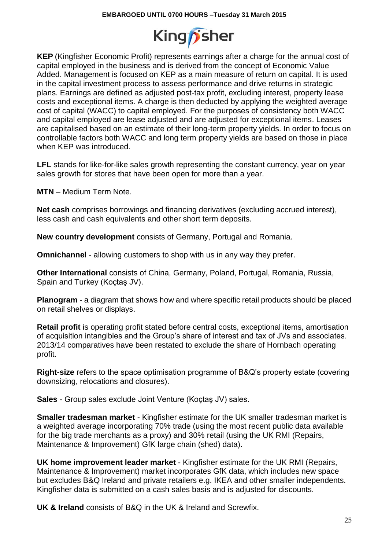

**KEP** (Kingfisher Economic Profit) represents earnings after a charge for the annual cost of capital employed in the business and is derived from the concept of Economic Value Added. Management is focused on KEP as a main measure of return on capital. It is used in the capital investment process to assess performance and drive returns in strategic plans. Earnings are defined as adjusted post-tax profit, excluding interest, property lease costs and exceptional items. A charge is then deducted by applying the weighted average cost of capital (WACC) to capital employed. For the purposes of consistency both WACC and capital employed are lease adjusted and are adjusted for exceptional items. Leases are capitalised based on an estimate of their long-term property yields. In order to focus on controllable factors both WACC and long term property yields are based on those in place when KEP was introduced.

**LFL** stands for like-for-like sales growth representing the constant currency, year on year sales growth for stores that have been open for more than a year.

**MTN** – Medium Term Note.

**Net cash** comprises borrowings and financing derivatives (excluding accrued interest), less cash and cash equivalents and other short term deposits.

**New country development** consists of Germany, Portugal and Romania.

**Omnichannel** - allowing customers to shop with us in any way they prefer.

**Other International** consists of China, Germany, Poland, Portugal, Romania, Russia, Spain and Turkey (Koçtaş JV).

**Planogram** - a diagram that shows how and where specific retail products should be placed on retail shelves or displays.

**Retail profit** is operating profit stated before central costs, exceptional items, amortisation of acquisition intangibles and the Group's share of interest and tax of JVs and associates. 2013/14 comparatives have been restated to exclude the share of Hornbach operating profit.

**Right-size** refers to the space optimisation programme of B&Q's property estate (covering downsizing, relocations and closures).

**Sales** - Group sales exclude Joint Venture (Koçtaş JV) sales.

**Smaller tradesman market** - Kingfisher estimate for the UK smaller tradesman market is a weighted average incorporating 70% trade (using the most recent public data available for the big trade merchants as a proxy) and 30% retail (using the UK RMI (Repairs, Maintenance & Improvement) GfK large chain (shed) data).

**UK home improvement leader market** - Kingfisher estimate for the UK RMI (Repairs, Maintenance & Improvement) market incorporates GfK data, which includes new space but excludes B&Q Ireland and private retailers e.g. IKEA and other smaller independents. Kingfisher data is submitted on a cash sales basis and is adjusted for discounts.

**UK & Ireland** consists of B&Q in the UK & Ireland and Screwfix.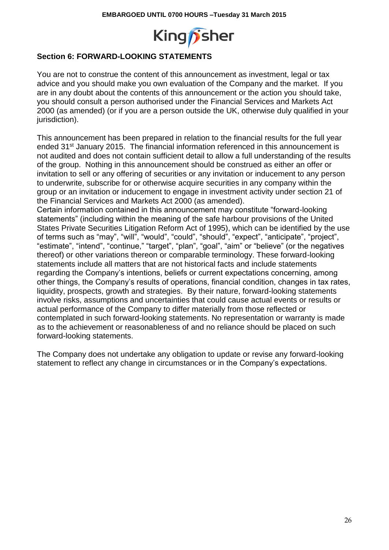

# **Section 6: FORWARD-LOOKING STATEMENTS**

You are not to construe the content of this announcement as investment, legal or tax advice and you should make you own evaluation of the Company and the market. If you are in any doubt about the contents of this announcement or the action you should take, you should consult a person authorised under the Financial Services and Markets Act 2000 (as amended) (or if you are a person outside the UK, otherwise duly qualified in your jurisdiction).

This announcement has been prepared in relation to the financial results for the full year ended 31<sup>st</sup> January 2015. The financial information referenced in this announcement is not audited and does not contain sufficient detail to allow a full understanding of the results of the group. Nothing in this announcement should be construed as either an offer or invitation to sell or any offering of securities or any invitation or inducement to any person to underwrite, subscribe for or otherwise acquire securities in any company within the group or an invitation or inducement to engage in investment activity under section 21 of the Financial Services and Markets Act 2000 (as amended).

Certain information contained in this announcement may constitute "forward-looking statements" (including within the meaning of the safe harbour provisions of the United States Private Securities Litigation Reform Act of 1995), which can be identified by the use of terms such as "may", "will", "would", "could", "should", "expect", "anticipate", "project", "estimate", "intend", "continue," "target", "plan", "goal", "aim" or "believe" (or the negatives thereof) or other variations thereon or comparable terminology. These forward-looking statements include all matters that are not historical facts and include statements regarding the Company's intentions, beliefs or current expectations concerning, among other things, the Company's results of operations, financial condition, changes in tax rates, liquidity, prospects, growth and strategies. By their nature, forward-looking statements involve risks, assumptions and uncertainties that could cause actual events or results or actual performance of the Company to differ materially from those reflected or contemplated in such forward-looking statements. No representation or warranty is made as to the achievement or reasonableness of and no reliance should be placed on such forward-looking statements.

The Company does not undertake any obligation to update or revise any forward-looking statement to reflect any change in circumstances or in the Company's expectations.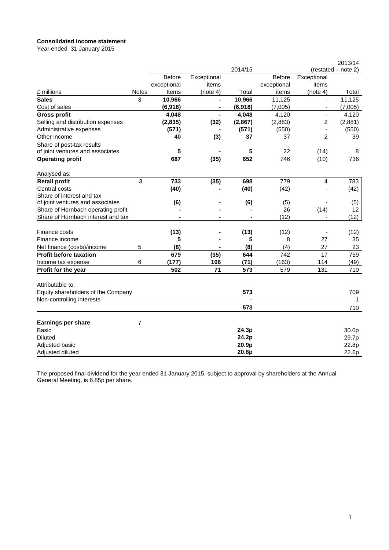#### **Consolidated income statement**

Year ended 31 January 2015

|                                                             |       |               |                |         |               |                          | 2013/14             |
|-------------------------------------------------------------|-------|---------------|----------------|---------|---------------|--------------------------|---------------------|
|                                                             |       |               |                | 2014/15 |               |                          | (restated - note 2) |
|                                                             |       | <b>Before</b> | Exceptional    |         | <b>Before</b> | Exceptional              |                     |
|                                                             |       | exceptional   | items          |         | exceptional   | items                    |                     |
| £ millions                                                  | Notes | Items         | (note 4)       | Total   | items         | (note 4)                 | Total               |
| <b>Sales</b>                                                | 3     | 10,966        | $\blacksquare$ | 10,966  | 11,125        | $\blacksquare$           | 11,125              |
| Cost of sales                                               |       | (6,918)       | -              | (6,918) | (7,005)       | $\overline{\phantom{a}}$ | (7,005)             |
| <b>Gross profit</b>                                         |       | 4,048         | Ξ.             | 4,048   | 4,120         | $\blacksquare$           | 4,120               |
| Selling and distribution expenses                           |       | (2,835)       | (32)           | (2,867) | (2,883)       | 2                        | (2,881)             |
| Administrative expenses                                     |       | (571)         |                | (571)   | (550)         |                          | (550)               |
| Other income                                                |       | 40            | (3)            | 37      | 37            | $\overline{2}$           | 39                  |
| Share of post-tax results                                   |       |               |                |         |               |                          |                     |
| of joint ventures and associates                            |       | 5             |                | 5       | 22            | (14)                     | 8                   |
| <b>Operating profit</b>                                     |       | 687           | (35)           | 652     | 746           | (10)                     | 736                 |
| Analysed as:                                                |       |               |                |         |               |                          |                     |
| <b>Retail profit</b>                                        | 3     | 733           | (35)           | 698     | 779           | 4                        | 783                 |
| Central costs                                               |       | (40)          |                | (40)    | (42)          |                          | (42)                |
| Share of interest and tax                                   |       |               |                |         |               |                          |                     |
| of joint ventures and associates                            |       | (6)           |                | (6)     | (5)           |                          | (5)                 |
| Share of Hornbach operating profit                          |       |               |                |         | 26            | (14)                     | 12                  |
| Share of Hornbach interest and tax                          |       |               | $\blacksquare$ |         | (12)          |                          | (12)                |
| Finance costs                                               |       | (13)          |                | (13)    | (12)          |                          | (12)                |
| Finance income                                              |       | 5             |                | 5       | 8             | 27                       | 35                  |
|                                                             | 5     | (8)           | $\blacksquare$ | (8)     | (4)           | 27                       | 23                  |
| Net finance (costs)/income<br><b>Profit before taxation</b> |       |               |                |         |               |                          |                     |
|                                                             |       | 679           | (35)           | 644     | 742           | 17                       | 759                 |
| Income tax expense                                          | 6     | (177)         | 106            | (71)    | (163)         | 114                      | (49)                |
| Profit for the year                                         |       | 502           | 71             | 573     | 579           | 131                      | 710                 |
| Attributable to:                                            |       |               |                |         |               |                          |                     |
| Equity shareholders of the Company                          |       |               |                | 573     |               |                          | 709                 |
| Non-controlling interests                                   |       |               |                |         |               |                          | 1<br>710            |
|                                                             |       |               |                | 573     |               |                          |                     |
| <b>Earnings per share</b>                                   | 7     |               |                |         |               |                          |                     |
| <b>Basic</b>                                                |       |               |                | 24.3p   |               |                          | 30.0p               |
| <b>Diluted</b>                                              |       |               |                | 24.2p   |               |                          | 29.7p               |
| Adjusted basic                                              |       |               |                | 20.9p   |               |                          | 22.8p               |
| Adjusted diluted                                            |       |               |                | 20.8p   |               |                          | 22.6p               |

The proposed final dividend for the year ended 31 January 2015, subject to approval by shareholders at the Annual General Meeting, is 6.85p per share.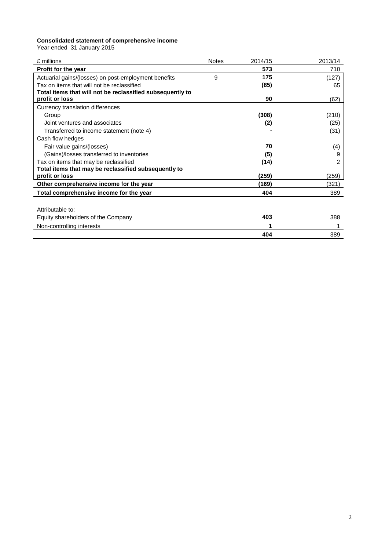#### **Consolidated statement of comprehensive income**

Year ended 31 January 2015

| f millions                                                | <b>Notes</b> | 2014/15 | 2013/14 |
|-----------------------------------------------------------|--------------|---------|---------|
| <b>Profit for the year</b>                                |              | 573     | 710     |
| Actuarial gains/(losses) on post-employment benefits      | 9            | 175     | (127)   |
| Tax on items that will not be reclassified                |              | (85)    | 65      |
| Total items that will not be reclassified subsequently to |              |         |         |
| profit or loss                                            |              | 90      | (62)    |
| Currency translation differences                          |              |         |         |
| Group                                                     |              | (308)   | (210)   |
| Joint ventures and associates                             |              | (2)     | (25)    |
| Transferred to income statement (note 4)                  |              |         | (31)    |
| Cash flow hedges                                          |              |         |         |
| Fair value gains/(losses)                                 |              | 70      | (4)     |
| (Gains)/losses transferred to inventories                 |              | (5)     | 9       |
| Tax on items that may be reclassified                     |              | (14)    | 2       |
| Total items that may be reclassified subsequently to      |              |         |         |
| profit or loss                                            |              | (259)   | (259)   |
| Other comprehensive income for the year                   |              | (169)   | (321)   |
| Total comprehensive income for the year                   |              | 404     | 389     |
|                                                           |              |         |         |
| Attributable to:                                          |              |         |         |
| Equity shareholders of the Company                        |              | 403     | 388     |
| Non-controlling interests                                 |              |         |         |
|                                                           |              | 404     | 389     |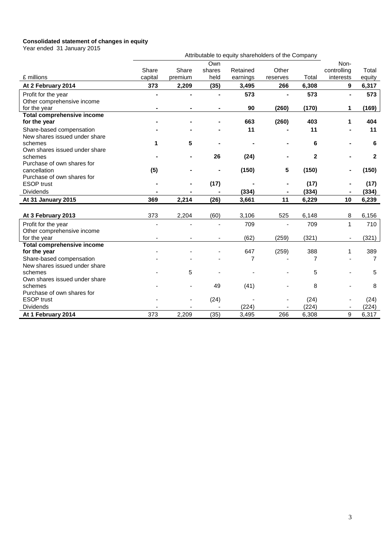#### **Consolidated statement of changes in equity**

Year ended 31 January 2015

| real ended of January 2015                      | Attributable to equity shareholders of the Company |         |                |                |          |                |                |                |
|-------------------------------------------------|----------------------------------------------------|---------|----------------|----------------|----------|----------------|----------------|----------------|
|                                                 |                                                    |         | Own            |                |          |                | Non-           |                |
|                                                 | Share                                              | Share   | shares         | Retained       | Other    |                | controlling    | Total          |
| £ millions                                      | capital                                            | premium | held           | earnings       | reserves | Total          | interests      | equity         |
| At 2 February 2014                              | 373                                                | 2,209   | (35)           | 3,495          | 266      | 6,308          | 9              | 6,317          |
| Profit for the year                             | $\blacksquare$                                     |         | $\blacksquare$ | 573            |          | 573            | $\blacksquare$ | 573            |
| Other comprehensive income                      |                                                    |         |                |                |          |                |                |                |
| for the year                                    |                                                    |         |                | 90             | (260)    | (170)          | 1              | (169)          |
| <b>Total comprehensive income</b>               |                                                    |         |                |                |          |                |                |                |
| for the year                                    |                                                    |         |                | 663            | (260)    | 403            | 1              | 404            |
| Share-based compensation                        |                                                    |         |                | 11             |          | 11             |                | 11             |
| New shares issued under share                   |                                                    |         |                |                |          |                |                |                |
| schemes                                         | 1                                                  | 5       | $\blacksquare$ |                |          | 6              |                | 6              |
| Own shares issued under share                   |                                                    |         |                |                |          |                |                |                |
| schemes                                         |                                                    |         | 26             | (24)           |          | $\overline{2}$ |                | $\mathbf{2}$   |
| Purchase of own shares for                      |                                                    |         |                |                |          |                |                |                |
| cancellation                                    | (5)                                                |         | $\blacksquare$ | (150)          | 5        | (150)          |                | (150)          |
| Purchase of own shares for                      |                                                    |         |                |                |          |                |                |                |
| <b>ESOP</b> trust                               |                                                    |         | (17)           |                |          | (17)           |                | (17)           |
| Dividends                                       |                                                    |         |                | (334)          |          | (334)          |                | (334)          |
| At 31 January 2015                              | 369                                                | 2,214   | (26)           | 3,661          | 11       | 6,229          | 10             | 6,239          |
|                                                 |                                                    |         |                |                |          |                |                |                |
| At 3 February 2013                              | 373                                                | 2,204   | (60)           | 3,106          | 525      | 6,148          | 8              | 6,156          |
| Profit for the year                             | ٠                                                  |         | $\blacksquare$ | 709            | $\sim$   | 709            | $\mathbf{1}$   | 710            |
| Other comprehensive income                      |                                                    |         |                |                |          |                |                |                |
| for the year                                    |                                                    |         | ٠              | (62)           | (259)    | (321)          | $\blacksquare$ | (321)          |
| <b>Total comprehensive income</b>               |                                                    |         |                |                |          |                |                |                |
| for the year                                    |                                                    |         |                | 647            | (259)    | 388            | 1              | 389            |
| Share-based compensation                        |                                                    |         |                | $\overline{7}$ |          | 7              |                | $\overline{7}$ |
| New shares issued under share                   |                                                    |         |                |                |          |                |                |                |
| schemes                                         |                                                    | 5       |                |                |          | 5              |                | 5              |
| Own shares issued under share                   |                                                    |         |                |                |          |                |                |                |
| schemes                                         |                                                    |         | 49             | (41)           |          | 8              |                | 8              |
| Purchase of own shares for<br><b>ESOP</b> trust |                                                    |         |                |                |          |                |                |                |
| Dividends                                       |                                                    |         | (24)           | (224)          |          | (24)<br>(224)  |                | (24)<br>(224)  |
|                                                 |                                                    |         |                |                |          |                |                |                |
| At 1 February 2014                              | 373                                                | 2,209   | (35)           | 3,495          | 266      | 6,308          | 9              | 6,317          |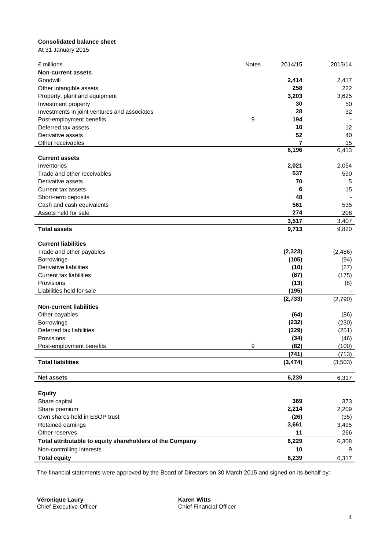#### **Consolidated balance sheet**

At 31 January 2015

| £ millions                                               | Notes | 2014/15        | 2013/14 |
|----------------------------------------------------------|-------|----------------|---------|
| <b>Non-current assets</b>                                |       |                |         |
| Goodwill                                                 |       | 2,414          | 2,417   |
| Other intangible assets                                  |       | 258            | 222     |
| Property, plant and equipment                            |       | 3,203          | 3,625   |
| Investment property                                      |       | 30             | 50      |
| Investments in joint ventures and associates             |       | 28             | 32      |
| Post-employment benefits                                 | 9     | 194            |         |
| Deferred tax assets                                      |       | 10             | 12      |
| Derivative assets                                        |       | 52             | 40      |
| Other receivables                                        |       | $\overline{7}$ | 15      |
|                                                          |       | 6,196          | 6,413   |
| <b>Current assets</b>                                    |       |                |         |
| Inventories                                              |       | 2,021          | 2,054   |
| Trade and other receivables                              |       | 537            | 590     |
| Derivative assets                                        |       | 70             | 5       |
| <b>Current tax assets</b>                                |       | 6              | 15      |
| Short-term deposits                                      |       | 48             |         |
| Cash and cash equivalents                                |       | 561            | 535     |
| Assets held for sale                                     |       | 274            | 208     |
|                                                          |       | 3,517          | 3,407   |
| <b>Total assets</b>                                      |       | 9,713          | 9,820   |
|                                                          |       |                |         |
| <b>Current liabilities</b>                               |       |                |         |
| Trade and other payables                                 |       | (2, 323)       | (2,486) |
| Borrowings                                               |       | (105)          | (94)    |
| <b>Derivative liabilities</b>                            |       | (10)           | (27)    |
| <b>Current tax liabilities</b>                           |       | (87)           | (175)   |
| Provisions                                               |       | (13)           | (8)     |
| Liabilities held for sale                                |       | (195)          |         |
|                                                          |       | (2, 733)       | (2,790) |
| <b>Non-current liabilities</b>                           |       |                |         |
| Other payables                                           |       | (64)           | (86)    |
| Borrowings                                               |       | (232)          | (230)   |
| Deferred tax liabilities                                 |       | (329)          | (251)   |
| Provisions                                               |       | (34)           | (46)    |
| Post-employment benefits                                 | 9     | (82)           | (100)   |
|                                                          |       | (741)          | (713)   |
| <b>Total liabilities</b>                                 |       | (3, 474)       | (3,503) |
|                                                          |       |                |         |
| <b>Net assets</b>                                        |       | 6,239          | 6,317   |
|                                                          |       |                |         |
| <b>Equity</b>                                            |       |                |         |
| Share capital                                            |       | 369            | 373     |
| Share premium                                            |       | 2,214          | 2,209   |
| Own shares held in ESOP trust                            |       | (26)           | (35)    |
| Retained earnings                                        |       | 3,661          | 3,495   |
| Other reserves                                           |       | 11             | 266     |
| Total attributable to equity shareholders of the Company |       | 6,229          | 6,308   |
| Non-controlling interests                                |       | 10             | 9       |
|                                                          |       |                |         |
| <b>Total equity</b>                                      |       | 6,239          | 6,317   |

The financial statements were approved by the Board of Directors on 30 March 2015 and signed on its behalf by:

**Véronique Laury Karen Witts** Chief Executive Officer Chief Financial Officer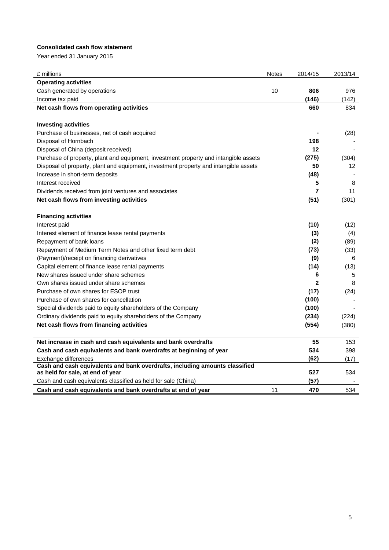#### **Consolidated cash flow statement**

Year ended 31 January 2015

| <b>Operating activities</b><br>806<br>10<br>Cash generated by operations<br>976<br>(146)<br>Income tax paid<br>(142)<br>Net cash flows from operating activities<br>660<br>834<br><b>Investing activities</b><br>Purchase of businesses, net of cash acquired<br>(28)<br>198<br>Disposal of Hornbach<br>Disposal of China (deposit received)<br>12<br>Purchase of property, plant and equipment, investment property and intangible assets<br>(275)<br>(304)<br>Disposal of property, plant and equipment, investment property and intangible assets<br>50<br>12<br>Increase in short-term deposits<br>(48)<br>5<br>Interest received<br>8<br>7<br>11<br>Dividends received from joint ventures and associates<br>Net cash flows from investing activities<br>(51)<br>(301)<br><b>Financing activities</b><br>(10)<br>Interest paid<br>(12)<br>(3)<br>Interest element of finance lease rental payments<br>(4)<br>Repayment of bank loans<br>(2)<br>(89)<br>Repayment of Medium Term Notes and other fixed term debt<br>(73)<br>(33)<br>(Payment)/receipt on financing derivatives<br>(9)<br>6<br>(14)<br>(13)<br>Capital element of finance lease rental payments<br>New shares issued under share schemes<br>6<br>5<br>$\overline{2}$<br>Own shares issued under share schemes<br>8<br>Purchase of own shares for ESOP trust<br>(17)<br>(24)<br>Purchase of own shares for cancellation<br>(100)<br>(100)<br>Special dividends paid to equity shareholders of the Company<br>(234)<br>(224)<br>Ordinary dividends paid to equity shareholders of the Company<br>Net cash flows from financing activities<br>(554)<br>(380)<br>Net increase in cash and cash equivalents and bank overdrafts<br>55<br>153<br>534<br>Cash and cash equivalents and bank overdrafts at beginning of year<br>398<br>(62)<br>Exchange differences<br>(17)<br>Cash and cash equivalents and bank overdrafts, including amounts classified<br>as held for sale, at end of year<br>527<br>534<br>Cash and cash equivalents classified as held for sale (China)<br>(57)<br>Cash and cash equivalents and bank overdrafts at end of year<br>470<br>11<br>534 | £ millions | Notes | 2014/15 | 2013/14 |
|--------------------------------------------------------------------------------------------------------------------------------------------------------------------------------------------------------------------------------------------------------------------------------------------------------------------------------------------------------------------------------------------------------------------------------------------------------------------------------------------------------------------------------------------------------------------------------------------------------------------------------------------------------------------------------------------------------------------------------------------------------------------------------------------------------------------------------------------------------------------------------------------------------------------------------------------------------------------------------------------------------------------------------------------------------------------------------------------------------------------------------------------------------------------------------------------------------------------------------------------------------------------------------------------------------------------------------------------------------------------------------------------------------------------------------------------------------------------------------------------------------------------------------------------------------------------------------------------------------------------------------------------------------------------------------------------------------------------------------------------------------------------------------------------------------------------------------------------------------------------------------------------------------------------------------------------------------------------------------------------------------------------------------------------------------------------------------------------------------------------------------------|------------|-------|---------|---------|
|                                                                                                                                                                                                                                                                                                                                                                                                                                                                                                                                                                                                                                                                                                                                                                                                                                                                                                                                                                                                                                                                                                                                                                                                                                                                                                                                                                                                                                                                                                                                                                                                                                                                                                                                                                                                                                                                                                                                                                                                                                                                                                                                      |            |       |         |         |
|                                                                                                                                                                                                                                                                                                                                                                                                                                                                                                                                                                                                                                                                                                                                                                                                                                                                                                                                                                                                                                                                                                                                                                                                                                                                                                                                                                                                                                                                                                                                                                                                                                                                                                                                                                                                                                                                                                                                                                                                                                                                                                                                      |            |       |         |         |
|                                                                                                                                                                                                                                                                                                                                                                                                                                                                                                                                                                                                                                                                                                                                                                                                                                                                                                                                                                                                                                                                                                                                                                                                                                                                                                                                                                                                                                                                                                                                                                                                                                                                                                                                                                                                                                                                                                                                                                                                                                                                                                                                      |            |       |         |         |
|                                                                                                                                                                                                                                                                                                                                                                                                                                                                                                                                                                                                                                                                                                                                                                                                                                                                                                                                                                                                                                                                                                                                                                                                                                                                                                                                                                                                                                                                                                                                                                                                                                                                                                                                                                                                                                                                                                                                                                                                                                                                                                                                      |            |       |         |         |
|                                                                                                                                                                                                                                                                                                                                                                                                                                                                                                                                                                                                                                                                                                                                                                                                                                                                                                                                                                                                                                                                                                                                                                                                                                                                                                                                                                                                                                                                                                                                                                                                                                                                                                                                                                                                                                                                                                                                                                                                                                                                                                                                      |            |       |         |         |
|                                                                                                                                                                                                                                                                                                                                                                                                                                                                                                                                                                                                                                                                                                                                                                                                                                                                                                                                                                                                                                                                                                                                                                                                                                                                                                                                                                                                                                                                                                                                                                                                                                                                                                                                                                                                                                                                                                                                                                                                                                                                                                                                      |            |       |         |         |
|                                                                                                                                                                                                                                                                                                                                                                                                                                                                                                                                                                                                                                                                                                                                                                                                                                                                                                                                                                                                                                                                                                                                                                                                                                                                                                                                                                                                                                                                                                                                                                                                                                                                                                                                                                                                                                                                                                                                                                                                                                                                                                                                      |            |       |         |         |
|                                                                                                                                                                                                                                                                                                                                                                                                                                                                                                                                                                                                                                                                                                                                                                                                                                                                                                                                                                                                                                                                                                                                                                                                                                                                                                                                                                                                                                                                                                                                                                                                                                                                                                                                                                                                                                                                                                                                                                                                                                                                                                                                      |            |       |         |         |
|                                                                                                                                                                                                                                                                                                                                                                                                                                                                                                                                                                                                                                                                                                                                                                                                                                                                                                                                                                                                                                                                                                                                                                                                                                                                                                                                                                                                                                                                                                                                                                                                                                                                                                                                                                                                                                                                                                                                                                                                                                                                                                                                      |            |       |         |         |
|                                                                                                                                                                                                                                                                                                                                                                                                                                                                                                                                                                                                                                                                                                                                                                                                                                                                                                                                                                                                                                                                                                                                                                                                                                                                                                                                                                                                                                                                                                                                                                                                                                                                                                                                                                                                                                                                                                                                                                                                                                                                                                                                      |            |       |         |         |
|                                                                                                                                                                                                                                                                                                                                                                                                                                                                                                                                                                                                                                                                                                                                                                                                                                                                                                                                                                                                                                                                                                                                                                                                                                                                                                                                                                                                                                                                                                                                                                                                                                                                                                                                                                                                                                                                                                                                                                                                                                                                                                                                      |            |       |         |         |
|                                                                                                                                                                                                                                                                                                                                                                                                                                                                                                                                                                                                                                                                                                                                                                                                                                                                                                                                                                                                                                                                                                                                                                                                                                                                                                                                                                                                                                                                                                                                                                                                                                                                                                                                                                                                                                                                                                                                                                                                                                                                                                                                      |            |       |         |         |
|                                                                                                                                                                                                                                                                                                                                                                                                                                                                                                                                                                                                                                                                                                                                                                                                                                                                                                                                                                                                                                                                                                                                                                                                                                                                                                                                                                                                                                                                                                                                                                                                                                                                                                                                                                                                                                                                                                                                                                                                                                                                                                                                      |            |       |         |         |
|                                                                                                                                                                                                                                                                                                                                                                                                                                                                                                                                                                                                                                                                                                                                                                                                                                                                                                                                                                                                                                                                                                                                                                                                                                                                                                                                                                                                                                                                                                                                                                                                                                                                                                                                                                                                                                                                                                                                                                                                                                                                                                                                      |            |       |         |         |
|                                                                                                                                                                                                                                                                                                                                                                                                                                                                                                                                                                                                                                                                                                                                                                                                                                                                                                                                                                                                                                                                                                                                                                                                                                                                                                                                                                                                                                                                                                                                                                                                                                                                                                                                                                                                                                                                                                                                                                                                                                                                                                                                      |            |       |         |         |
|                                                                                                                                                                                                                                                                                                                                                                                                                                                                                                                                                                                                                                                                                                                                                                                                                                                                                                                                                                                                                                                                                                                                                                                                                                                                                                                                                                                                                                                                                                                                                                                                                                                                                                                                                                                                                                                                                                                                                                                                                                                                                                                                      |            |       |         |         |
|                                                                                                                                                                                                                                                                                                                                                                                                                                                                                                                                                                                                                                                                                                                                                                                                                                                                                                                                                                                                                                                                                                                                                                                                                                                                                                                                                                                                                                                                                                                                                                                                                                                                                                                                                                                                                                                                                                                                                                                                                                                                                                                                      |            |       |         |         |
|                                                                                                                                                                                                                                                                                                                                                                                                                                                                                                                                                                                                                                                                                                                                                                                                                                                                                                                                                                                                                                                                                                                                                                                                                                                                                                                                                                                                                                                                                                                                                                                                                                                                                                                                                                                                                                                                                                                                                                                                                                                                                                                                      |            |       |         |         |
|                                                                                                                                                                                                                                                                                                                                                                                                                                                                                                                                                                                                                                                                                                                                                                                                                                                                                                                                                                                                                                                                                                                                                                                                                                                                                                                                                                                                                                                                                                                                                                                                                                                                                                                                                                                                                                                                                                                                                                                                                                                                                                                                      |            |       |         |         |
|                                                                                                                                                                                                                                                                                                                                                                                                                                                                                                                                                                                                                                                                                                                                                                                                                                                                                                                                                                                                                                                                                                                                                                                                                                                                                                                                                                                                                                                                                                                                                                                                                                                                                                                                                                                                                                                                                                                                                                                                                                                                                                                                      |            |       |         |         |
|                                                                                                                                                                                                                                                                                                                                                                                                                                                                                                                                                                                                                                                                                                                                                                                                                                                                                                                                                                                                                                                                                                                                                                                                                                                                                                                                                                                                                                                                                                                                                                                                                                                                                                                                                                                                                                                                                                                                                                                                                                                                                                                                      |            |       |         |         |
|                                                                                                                                                                                                                                                                                                                                                                                                                                                                                                                                                                                                                                                                                                                                                                                                                                                                                                                                                                                                                                                                                                                                                                                                                                                                                                                                                                                                                                                                                                                                                                                                                                                                                                                                                                                                                                                                                                                                                                                                                                                                                                                                      |            |       |         |         |
|                                                                                                                                                                                                                                                                                                                                                                                                                                                                                                                                                                                                                                                                                                                                                                                                                                                                                                                                                                                                                                                                                                                                                                                                                                                                                                                                                                                                                                                                                                                                                                                                                                                                                                                                                                                                                                                                                                                                                                                                                                                                                                                                      |            |       |         |         |
|                                                                                                                                                                                                                                                                                                                                                                                                                                                                                                                                                                                                                                                                                                                                                                                                                                                                                                                                                                                                                                                                                                                                                                                                                                                                                                                                                                                                                                                                                                                                                                                                                                                                                                                                                                                                                                                                                                                                                                                                                                                                                                                                      |            |       |         |         |
|                                                                                                                                                                                                                                                                                                                                                                                                                                                                                                                                                                                                                                                                                                                                                                                                                                                                                                                                                                                                                                                                                                                                                                                                                                                                                                                                                                                                                                                                                                                                                                                                                                                                                                                                                                                                                                                                                                                                                                                                                                                                                                                                      |            |       |         |         |
|                                                                                                                                                                                                                                                                                                                                                                                                                                                                                                                                                                                                                                                                                                                                                                                                                                                                                                                                                                                                                                                                                                                                                                                                                                                                                                                                                                                                                                                                                                                                                                                                                                                                                                                                                                                                                                                                                                                                                                                                                                                                                                                                      |            |       |         |         |
|                                                                                                                                                                                                                                                                                                                                                                                                                                                                                                                                                                                                                                                                                                                                                                                                                                                                                                                                                                                                                                                                                                                                                                                                                                                                                                                                                                                                                                                                                                                                                                                                                                                                                                                                                                                                                                                                                                                                                                                                                                                                                                                                      |            |       |         |         |
|                                                                                                                                                                                                                                                                                                                                                                                                                                                                                                                                                                                                                                                                                                                                                                                                                                                                                                                                                                                                                                                                                                                                                                                                                                                                                                                                                                                                                                                                                                                                                                                                                                                                                                                                                                                                                                                                                                                                                                                                                                                                                                                                      |            |       |         |         |
|                                                                                                                                                                                                                                                                                                                                                                                                                                                                                                                                                                                                                                                                                                                                                                                                                                                                                                                                                                                                                                                                                                                                                                                                                                                                                                                                                                                                                                                                                                                                                                                                                                                                                                                                                                                                                                                                                                                                                                                                                                                                                                                                      |            |       |         |         |
|                                                                                                                                                                                                                                                                                                                                                                                                                                                                                                                                                                                                                                                                                                                                                                                                                                                                                                                                                                                                                                                                                                                                                                                                                                                                                                                                                                                                                                                                                                                                                                                                                                                                                                                                                                                                                                                                                                                                                                                                                                                                                                                                      |            |       |         |         |
|                                                                                                                                                                                                                                                                                                                                                                                                                                                                                                                                                                                                                                                                                                                                                                                                                                                                                                                                                                                                                                                                                                                                                                                                                                                                                                                                                                                                                                                                                                                                                                                                                                                                                                                                                                                                                                                                                                                                                                                                                                                                                                                                      |            |       |         |         |
|                                                                                                                                                                                                                                                                                                                                                                                                                                                                                                                                                                                                                                                                                                                                                                                                                                                                                                                                                                                                                                                                                                                                                                                                                                                                                                                                                                                                                                                                                                                                                                                                                                                                                                                                                                                                                                                                                                                                                                                                                                                                                                                                      |            |       |         |         |
|                                                                                                                                                                                                                                                                                                                                                                                                                                                                                                                                                                                                                                                                                                                                                                                                                                                                                                                                                                                                                                                                                                                                                                                                                                                                                                                                                                                                                                                                                                                                                                                                                                                                                                                                                                                                                                                                                                                                                                                                                                                                                                                                      |            |       |         |         |
|                                                                                                                                                                                                                                                                                                                                                                                                                                                                                                                                                                                                                                                                                                                                                                                                                                                                                                                                                                                                                                                                                                                                                                                                                                                                                                                                                                                                                                                                                                                                                                                                                                                                                                                                                                                                                                                                                                                                                                                                                                                                                                                                      |            |       |         |         |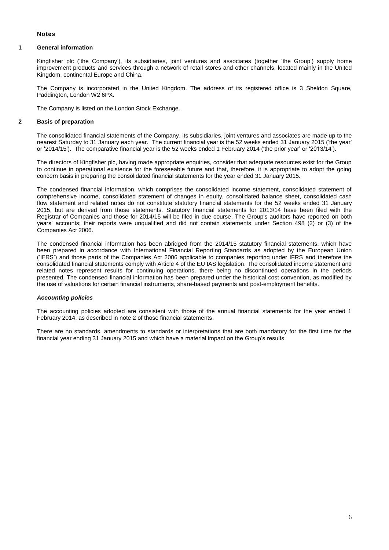#### **Notes**

#### **1 General information**

Kingfisher plc ('the Company'), its subsidiaries, joint ventures and associates (together 'the Group') supply home improvement products and services through a network of retail stores and other channels, located mainly in the United Kingdom, continental Europe and China.

The Company is incorporated in the United Kingdom. The address of its registered office is 3 Sheldon Square, Paddington, London W2 6PX.

The Company is listed on the London Stock Exchange.

#### **2 Basis of preparation**

The consolidated financial statements of the Company, its subsidiaries, joint ventures and associates are made up to the nearest Saturday to 31 January each year. The current financial year is the 52 weeks ended 31 January 2015 ('the year' or '2014/15'). The comparative financial year is the 52 weeks ended 1 February 2014 ('the prior year' or '2013/14').

The directors of Kingfisher plc, having made appropriate enquiries, consider that adequate resources exist for the Group to continue in operational existence for the foreseeable future and that, therefore, it is appropriate to adopt the going concern basis in preparing the consolidated financial statements for the year ended 31 January 2015.

The condensed financial information, which comprises the consolidated income statement, consolidated statement of comprehensive income, consolidated statement of changes in equity, consolidated balance sheet, consolidated cash flow statement and related notes do not constitute statutory financial statements for the 52 weeks ended 31 January 2015, but are derived from those statements. Statutory financial statements for 2013/14 have been filed with the Registrar of Companies and those for 2014/15 will be filed in due course. The Group's auditors have reported on both years' accounts; their reports were unqualified and did not contain statements under Section 498 (2) or (3) of the Companies Act 2006.

The condensed financial information has been abridged from the 2014/15 statutory financial statements, which have been prepared in accordance with International Financial Reporting Standards as adopted by the European Union ('IFRS') and those parts of the Companies Act 2006 applicable to companies reporting under IFRS and therefore the consolidated financial statements comply with Article 4 of the EU IAS legislation. The consolidated income statement and related notes represent results for continuing operations, there being no discontinued operations in the periods presented. The condensed financial information has been prepared under the historical cost convention, as modified by the use of valuations for certain financial instruments, share-based payments and post-employment benefits.

#### *Accounting policies*

The accounting policies adopted are consistent with those of the annual financial statements for the year ended 1 February 2014, as described in note 2 of those financial statements.

There are no standards, amendments to standards or interpretations that are both mandatory for the first time for the financial year ending 31 January 2015 and which have a material impact on the Group's results.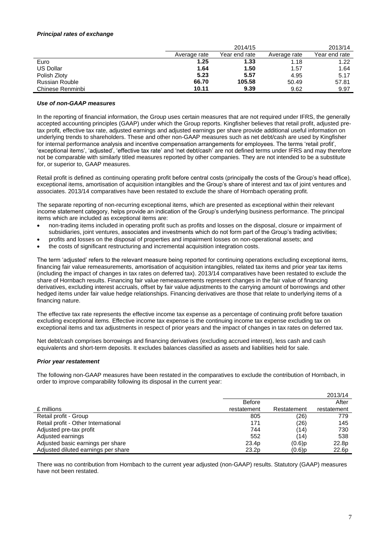#### *Principal rates of exchange*

|                       |              | 2014/15       |              | 2013/14       |
|-----------------------|--------------|---------------|--------------|---------------|
|                       | Average rate | Year end rate | Average rate | Year end rate |
| Euro                  | 1.25         | 1.33          | 1.18         | 1.22          |
| <b>US Dollar</b>      | 1.64         | 1.50          | 1.57         | 1.64          |
| Polish Zloty          | 5.23         | 5.57          | 4.95         | 5.17          |
| <b>Russian Rouble</b> | 66.70        | 105.58        | 50.49        | 57.81         |
| Chinese Renminbi      | 10.11        | 9.39          | 9.62         | 9.97          |

#### *Use of non-GAAP measures*

In the reporting of financial information, the Group uses certain measures that are not required under IFRS, the generally accepted accounting principles (GAAP) under which the Group reports. Kingfisher believes that retail profit, adjusted pretax profit, effective tax rate, adjusted earnings and adjusted earnings per share provide additional useful information on underlying trends to shareholders. These and other non-GAAP measures such as net debt/cash are used by Kingfisher for internal performance analysis and incentive compensation arrangements for employees. The terms 'retail profit', 'exceptional items', 'adjusted', 'effective tax rate' and 'net debt/cash' are not defined terms under IFRS and may therefore not be comparable with similarly titled measures reported by other companies. They are not intended to be a substitute for, or superior to, GAAP measures.

Retail profit is defined as continuing operating profit before central costs (principally the costs of the Group's head office), exceptional items, amortisation of acquisition intangibles and the Group's share of interest and tax of joint ventures and associates. 2013/14 comparatives have been restated to exclude the share of Hornbach operating profit.

The separate reporting of non-recurring exceptional items, which are presented as exceptional within their relevant income statement category, helps provide an indication of the Group's underlying business performance. The principal items which are included as exceptional items are:

- non-trading items included in operating profit such as profits and losses on the disposal, closure or impairment of subsidiaries, joint ventures, associates and investments which do not form part of the Group's trading activities;
- profits and losses on the disposal of properties and impairment losses on non-operational assets; and
- the costs of significant restructuring and incremental acquisition integration costs.

The term 'adjusted' refers to the relevant measure being reported for continuing operations excluding exceptional items, financing fair value remeasurements, amortisation of acquisition intangibles, related tax items and prior year tax items (including the impact of changes in tax rates on deferred tax). 2013/14 comparatives have been restated to exclude the share of Hornbach results. Financing fair value remeasurements represent changes in the fair value of financing derivatives, excluding interest accruals, offset by fair value adjustments to the carrying amount of borrowings and other hedged items under fair value hedge relationships. Financing derivatives are those that relate to underlying items of a financing nature.

The effective tax rate represents the effective income tax expense as a percentage of continuing profit before taxation excluding exceptional items. Effective income tax expense is the continuing income tax expense excluding tax on exceptional items and tax adjustments in respect of prior years and the impact of changes in tax rates on deferred tax.

Net debt/cash comprises borrowings and financing derivatives (excluding accrued interest), less cash and cash equivalents and short-term deposits. It excludes balances classified as assets and liabilities held for sale.

#### *Prior year restatement*

The following non-GAAP measures have been restated in the comparatives to exclude the contribution of Hornbach, in order to improve comparability following its disposal in the current year:

|                                     |                   |             | 2013/14     |
|-------------------------------------|-------------------|-------------|-------------|
|                                     | <b>Before</b>     |             | After       |
| £ millions                          | restatement       | Restatement | restatement |
| Retail profit - Group               | 805               | (26)        | 779         |
| Retail profit - Other International | 171               | (26)        | 145         |
| Adjusted pre-tax profit             | 744               | (14)        | 730         |
| Adjusted earnings                   | 552               | (14)        | 538         |
| Adjusted basic earnings per share   | 23.4p             | $(0.6)$ p   | 22.8p       |
| Adjusted diluted earnings per share | 23.2 <sub>D</sub> | $(0.6)$ p   | 22.6p       |

There was no contribution from Hornbach to the current year adjusted (non-GAAP) results. Statutory (GAAP) measures have not been restated.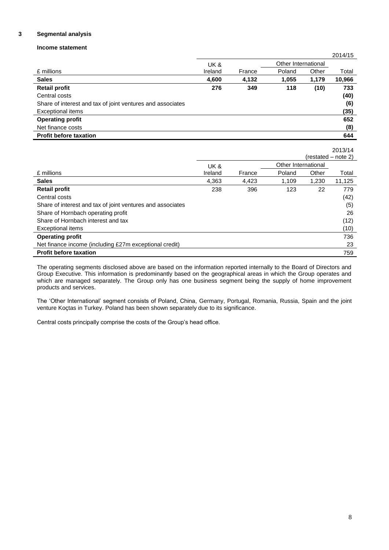#### **3 Segmental analysis**

#### **Income statement**

|                                                            | UK &    |        | Other International |       |        |
|------------------------------------------------------------|---------|--------|---------------------|-------|--------|
| £ millions                                                 | Ireland | France | Poland              | Other | Total  |
| <b>Sales</b>                                               | 4,600   | 4,132  | 1,055               | 1,179 | 10,966 |
| <b>Retail profit</b>                                       | 276     | 349    | 118                 | (10)  | 733    |
| Central costs                                              |         |        |                     |       | (40)   |
| Share of interest and tax of joint ventures and associates |         |        |                     |       | (6)    |
| Exceptional items                                          |         |        |                     |       | (35)   |
| <b>Operating profit</b>                                    |         |        |                     |       | 652    |
| Net finance costs                                          |         |        |                     |       | (8)    |
| <b>Profit before taxation</b>                              |         |        |                     |       | 644    |

|                                                            |         |        |                     | $(rested - note 2)$ | 2013/14 |
|------------------------------------------------------------|---------|--------|---------------------|---------------------|---------|
|                                                            | UK &    |        | Other International |                     |         |
| £ millions                                                 | Ireland | France | Poland              | Other               | Total   |
| <b>Sales</b>                                               | 4.363   | 4.423  | 1.109               | 1.230               | 11,125  |
| <b>Retail profit</b>                                       | 238     | 396    | 123                 | 22                  | 779     |
| Central costs                                              |         |        |                     |                     | (42)    |
| Share of interest and tax of joint ventures and associates |         |        |                     |                     | (5)     |
| Share of Hornbach operating profit                         |         |        |                     |                     | 26      |
| Share of Hornbach interest and tax                         |         |        |                     |                     | (12)    |
| <b>Exceptional items</b>                                   |         |        |                     |                     | (10)    |
| <b>Operating profit</b>                                    |         |        |                     |                     | 736     |
| Net finance income (including £27m exceptional credit)     |         |        |                     |                     | 23      |
| <b>Profit before taxation</b>                              |         |        |                     |                     | 759     |

The operating segments disclosed above are based on the information reported internally to the Board of Directors and Group Executive. This information is predominantly based on the geographical areas in which the Group operates and which are managed separately. The Group only has one business segment being the supply of home improvement products and services.

The 'Other International' segment consists of Poland, China, Germany, Portugal, Romania, Russia, Spain and the joint venture Koçtas in Turkey. Poland has been shown separately due to its significance.

Central costs principally comprise the costs of the Group's head office.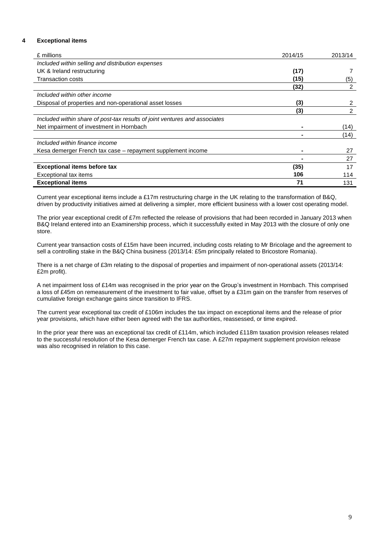#### **4 Exceptional items**

| £ millions                                                                 | 2014/15 | 2013/14 |
|----------------------------------------------------------------------------|---------|---------|
| Included within selling and distribution expenses                          |         |         |
| UK & Ireland restructuring                                                 | (17)    |         |
| <b>Transaction costs</b>                                                   | (15)    | (5)     |
|                                                                            | (32)    | 2       |
| Included within other income                                               |         |         |
| Disposal of properties and non-operational asset losses                    | (3)     | 2       |
|                                                                            | (3)     | 2       |
| Included within share of post-tax results of joint ventures and associates |         |         |
| Net impairment of investment in Hornbach                                   |         | (14)    |
|                                                                            |         | (14)    |
| Included within finance income                                             |         |         |
| Kesa demerger French tax case – repayment supplement income                | ۰       | 27      |
|                                                                            |         | 27      |
| <b>Exceptional items before tax</b>                                        | (35)    | 17      |
| Exceptional tax items                                                      | 106     | 114     |
| <b>Exceptional items</b>                                                   | 71      | 131     |

Current year exceptional items include a £17m restructuring charge in the UK relating to the transformation of B&Q, driven by productivity initiatives aimed at delivering a simpler, more efficient business with a lower cost operating model.

The prior year exceptional credit of £7m reflected the release of provisions that had been recorded in January 2013 when B&Q Ireland entered into an Examinership process, which it successfully exited in May 2013 with the closure of only one store.

Current year transaction costs of £15m have been incurred, including costs relating to Mr Bricolage and the agreement to sell a controlling stake in the B&Q China business (2013/14: £5m principally related to Bricostore Romania).

There is a net charge of £3m relating to the disposal of properties and impairment of non-operational assets (2013/14: £2m profit).

A net impairment loss of £14m was recognised in the prior year on the Group's investment in Hornbach. This comprised a loss of £45m on remeasurement of the investment to fair value, offset by a £31m gain on the transfer from reserves of cumulative foreign exchange gains since transition to IFRS.

The current year exceptional tax credit of £106m includes the tax impact on exceptional items and the release of prior year provisions, which have either been agreed with the tax authorities, reassessed, or time expired.

In the prior year there was an exceptional tax credit of £114m, which included £118m taxation provision releases related to the successful resolution of the Kesa demerger French tax case. A £27m repayment supplement provision release was also recognised in relation to this case.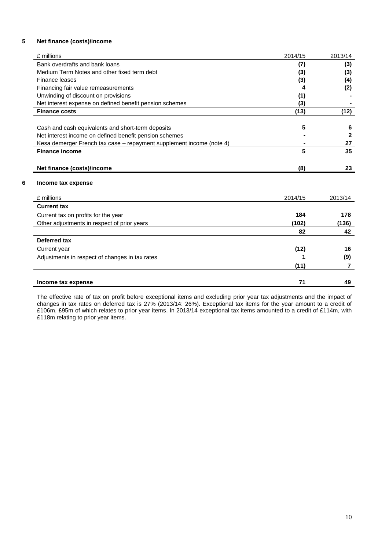#### **5 Net finance (costs)/income**

| £ millions                                                           | 2014/15 | 2013/14        |
|----------------------------------------------------------------------|---------|----------------|
| Bank overdrafts and bank loans                                       | (7)     | (3)            |
| Medium Term Notes and other fixed term debt                          | (3)     | (3)            |
| Finance leases                                                       | (3)     | (4)            |
| Financing fair value remeasurements                                  | 4       | (2)            |
| Unwinding of discount on provisions                                  | (1)     |                |
| Net interest expense on defined benefit pension schemes              | (3)     |                |
| <b>Finance costs</b>                                                 | (13)    | (12)           |
| Cash and cash equivalents and short-term deposits                    | 5       | 6              |
| Net interest income on defined benefit pension schemes               |         | $\mathbf{2}$   |
| Kesa demerger French tax case - repayment supplement income (note 4) |         | 27             |
| <b>Finance income</b>                                                | 5       | 35             |
| Net finance (costs)/income<br>Income tax expense                     | (8)     |                |
| £ millions                                                           | 2014/15 | 2013/14        |
| <b>Current tax</b>                                                   |         |                |
| Current tax on profits for the year                                  | 184     | 178            |
| Other adjustments in respect of prior years                          | (102)   | (136)          |
|                                                                      | 82      | 42             |
| Deferred tax                                                         |         |                |
| Current year                                                         | (12)    | 16             |
| Adjustments in respect of changes in tax rates                       |         | (9)            |
|                                                                      | (11)    | $\overline{7}$ |
| Income tax expense                                                   | 71      | 49             |

The effective rate of tax on profit before exceptional items and excluding prior year tax adjustments and the impact of changes in tax rates on deferred tax is 27% (2013/14: 26%). Exceptional tax items for the year amount to a credit of £106m, £95m of which relates to prior year items. In 2013/14 exceptional tax items amounted to a credit of £114m, with £118m relating to prior year items.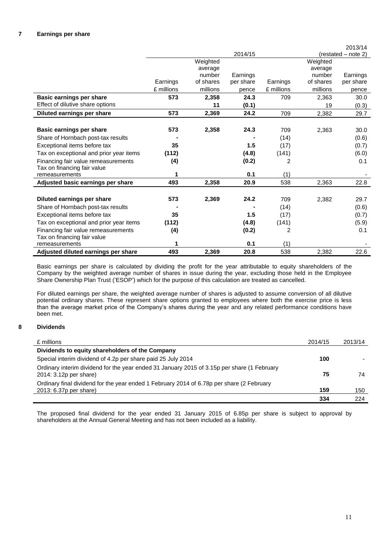|                                         |            |           |           |            |           | 2013/14             |
|-----------------------------------------|------------|-----------|-----------|------------|-----------|---------------------|
|                                         |            |           | 2014/15   |            |           | (restated - note 2) |
|                                         |            | Weighted  |           |            | Weighted  |                     |
|                                         |            | average   |           |            | average   |                     |
|                                         |            | number    | Earnings  |            | number    | Earnings            |
|                                         | Earnings   | of shares | per share | Earnings   | of shares | per share           |
|                                         | £ millions | millions  | pence     | £ millions | millions  | pence               |
| Basic earnings per share                | 573        | 2,358     | 24.3      | 709        | 2,363     | 30.0                |
| Effect of dilutive share options        |            | 11        | (0.1)     |            | 19        | (0.3)               |
| Diluted earnings per share              | 573        | 2,369     | 24.2      | 709        | 2,382     | 29.7                |
|                                         |            |           |           |            |           |                     |
| Basic earnings per share                | 573        | 2,358     | 24.3      | 709        | 2,363     | 30.0                |
| Share of Hornbach post-tax results      |            |           |           | (14)       |           | (0.6)               |
| Exceptional items before tax            | 35         |           | 1.5       | (17)       |           | (0.7)               |
| Tax on exceptional and prior year items | (112)      |           | (4.8)     | (141)      |           | (6.0)               |
| Financing fair value remeasurements     | (4)        |           | (0.2)     | 2          |           | 0.1                 |
| Tax on financing fair value             |            |           |           |            |           |                     |
| remeasurements                          | 1          |           | 0.1       | (1)        |           |                     |
| Adjusted basic earnings per share       | 493        | 2,358     | 20.9      | 538        | 2,363     | 22.8                |
|                                         |            |           |           |            |           |                     |
| Diluted earnings per share              | 573        | 2,369     | 24.2      | 709        | 2,382     | 29.7                |
| Share of Hornbach post-tax results      |            |           |           | (14)       |           | (0.6)               |
| Exceptional items before tax            | 35         |           | 1.5       | (17)       |           | (0.7)               |
| Tax on exceptional and prior year items | (112)      |           | (4.8)     | (141)      |           | (5.9)               |
| Financing fair value remeasurements     | (4)        |           | (0.2)     | 2          |           | 0.1                 |
| Tax on financing fair value             |            |           |           |            |           |                     |
| remeasurements                          | 1          |           | 0.1       | (1)        |           |                     |
| Adjusted diluted earnings per share     | 493        | 2,369     | 20.8      | 538        | 2,382     | 22.6                |

Basic earnings per share is calculated by dividing the profit for the year attributable to equity shareholders of the Company by the weighted average number of shares in issue during the year, excluding those held in the Employee Share Ownership Plan Trust ('ESOP') which for the purpose of this calculation are treated as cancelled.

For diluted earnings per share, the weighted average number of shares is adjusted to assume conversion of all dilutive potential ordinary shares. These represent share options granted to employees where both the exercise price is less than the average market price of the Company's shares during the year and any related performance conditions have been met.

#### **8 Dividends**

| £ millions                                                                                                            | 2014/15 | 2013/14 |
|-----------------------------------------------------------------------------------------------------------------------|---------|---------|
| Dividends to equity shareholders of the Company                                                                       |         |         |
| Special interim dividend of 4.2p per share paid 25 July 2014                                                          | 100     |         |
| Ordinary interim dividend for the year ended 31 January 2015 of 3.15p per share (1 February<br>2014: 3.12p per share) | 75      | 74      |
| Ordinary final dividend for the year ended 1 February 2014 of 6.78p per share (2 February                             |         |         |
| 2013: 6.37p per share)                                                                                                | 159     | 150     |
|                                                                                                                       | 334     | 224     |

The proposed final dividend for the year ended 31 January 2015 of 6.85p per share is subject to approval by shareholders at the Annual General Meeting and has not been included as a liability.

11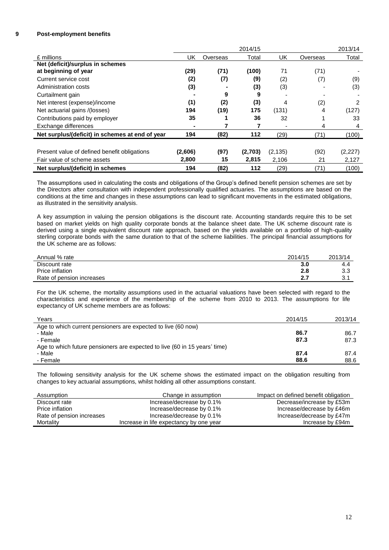#### **9 Post-employment benefits**

|                                                 |         |          | 2014/15 |          |          | 2013/14 |
|-------------------------------------------------|---------|----------|---------|----------|----------|---------|
| £ millions                                      | UK      | Overseas | Total   | UK       | Overseas | Total   |
| Net (deficit)/surplus in schemes                |         |          |         |          |          |         |
| at beginning of year                            | (29)    | (71)     | (100)   | 71       | (71)     |         |
| Current service cost                            | (2)     | (7)      | (9)     | (2)      | (7)      | (9)     |
| Administration costs                            | (3)     |          | (3)     | (3)      |          | (3)     |
| Curtailment gain                                |         | 9        | 9       |          |          |         |
| Net interest (expense)/income                   | (1)     | (2)      | (3)     | 4        | (2)      | 2       |
| Net actuarial gains /(losses)                   | 194     | (19)     | 175     | (131)    | 4        | (127)   |
| Contributions paid by employer                  | 35      |          | 36      | 32       |          | 33      |
| Exchange differences                            | ۰       |          |         |          | 4        | 4       |
| Net surplus/(deficit) in schemes at end of year | 194     | (82)     | $112$   | (29)     | (71)     | (100)   |
|                                                 |         |          |         |          |          |         |
| Present value of defined benefit obligations    | (2,606) | (97)     | (2,703) | (2, 135) | (92)     | (2,227) |
| Fair value of scheme assets                     | 2,800   | 15       | 2,815   | 2,106    | 21       | 2,127   |
| Net surplus/(deficit) in schemes                | 194     | (82)     | 112     | (29)     | (71)     | (100)   |

The assumptions used in calculating the costs and obligations of the Group's defined benefit pension schemes are set by the Directors after consultation with independent professionally qualified actuaries. The assumptions are based on the conditions at the time and changes in these assumptions can lead to significant movements in the estimated obligations, as illustrated in the sensitivity analysis.

A key assumption in valuing the pension obligations is the discount rate. Accounting standards require this to be set based on market yields on high quality corporate bonds at the balance sheet date. The UK scheme discount rate is derived using a single equivalent discount rate approach, based on the yields available on a portfolio of high-quality sterling corporate bonds with the same duration to that of the scheme liabilities. The principal financial assumptions for the UK scheme are as follows:

| Annual % rate             | 2014/15 | 2013/14    |
|---------------------------|---------|------------|
| Discount rate             | 3.0     | 4.4        |
| Price inflation           | 2.8     | າ າ<br>ບ.ບ |
| Rate of pension increases |         | ົ.<br>J.   |

For the UK scheme, the mortality assumptions used in the actuarial valuations have been selected with regard to the characteristics and experience of the membership of the scheme from 2010 to 2013. The assumptions for life expectancy of UK scheme members are as follows:

| Years                                                                      | 2014/15 | 2013/14 |
|----------------------------------------------------------------------------|---------|---------|
| Age to which current pensioners are expected to live (60 now)              |         |         |
| - Male                                                                     | 86.7    | 86.7    |
| - Female                                                                   | 87.3    | 87.3    |
| Age to which future pensioners are expected to live (60 in 15 years' time) |         |         |
| - Male                                                                     | 87.4    | 87.4    |
| - Female                                                                   | 88.6    | 88.6    |

The following sensitivity analysis for the UK scheme shows the estimated impact on the obligation resulting from changes to key actuarial assumptions, whilst holding all other assumptions constant.

| Assumption                | Change in assumption                    | Impact on defined benefit obligation |
|---------------------------|-----------------------------------------|--------------------------------------|
| Discount rate             | Increase/decrease by 0.1%               | Decrease/increase by £53m            |
| Price inflation           | Increase/decrease by 0.1%               | Increase/decrease by £46m            |
| Rate of pension increases | Increase/decrease by 0.1%               | Increase/decrease by £47m            |
| Mortality                 | Increase in life expectancy by one year | Increase by £94m                     |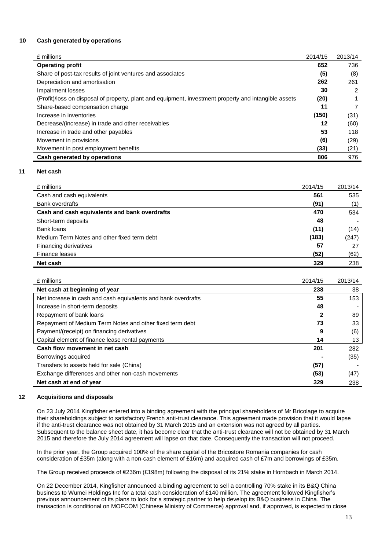#### **10 Cash generated by operations**

| £ millions                                                                                            | 2014/15 | 2013/14 |
|-------------------------------------------------------------------------------------------------------|---------|---------|
| <b>Operating profit</b>                                                                               | 652     | 736     |
| Share of post-tax results of joint ventures and associates                                            | (5)     | (8)     |
| Depreciation and amortisation                                                                         | 262     | 261     |
| Impairment losses                                                                                     | 30      | 2       |
| (Profit)/loss on disposal of property, plant and equipment, investment property and intangible assets | (20)    |         |
| Share-based compensation charge                                                                       | 11      |         |
| Increase in inventories                                                                               | (150)   | (31)    |
| Decrease/(increase) in trade and other receivables                                                    | 12      | (60)    |
| Increase in trade and other payables                                                                  | 53      | 118     |
| Movement in provisions                                                                                | (6)     | (29)    |
| Movement in post employment benefits                                                                  | (33)    | (21)    |
| Cash generated by operations                                                                          | 806     | 976     |

#### **11 Net cash**

| £ millions                                    | 2014/15 | 2013/14 |
|-----------------------------------------------|---------|---------|
| Cash and cash equivalents                     | 561     | 535     |
| <b>Bank overdrafts</b>                        | (91)    | (1)     |
| Cash and cash equivalents and bank overdrafts | 470     | 534     |
| Short-term deposits                           | 48      |         |
| Bank loans                                    | (11)    | (14)    |
| Medium Term Notes and other fixed term debt   | (183)   | (247)   |
| Financing derivatives                         | 57      | 27      |
| Finance leases                                | (52)    | (62)    |
| Net cash                                      | 329     | 238     |

| £ millions                                                    | 2014/15 | 2013/14 |
|---------------------------------------------------------------|---------|---------|
| Net cash at beginning of year                                 | 238     | 38      |
| Net increase in cash and cash equivalents and bank overdrafts | 55      | 153     |
| Increase in short-term deposits                               | 48      |         |
| Repayment of bank loans                                       |         | 89      |
| Repayment of Medium Term Notes and other fixed term debt      | 73      | 33      |
| Payment/(receipt) on financing derivatives                    | 9       | (6)     |
| Capital element of finance lease rental payments              | 14      | 13      |
| Cash flow movement in net cash                                | 201     | 282     |
| Borrowings acquired                                           |         | (35)    |
| Transfers to assets held for sale (China)                     | (57)    |         |
| Exchange differences and other non-cash movements             | (53)    | (47)    |
| Net cash at end of year                                       | 329     | 238     |

#### **12 Acquisitions and disposals**

On 23 July 2014 Kingfisher entered into a binding agreement with the principal shareholders of Mr Bricolage to acquire their shareholdings subject to satisfactory French anti-trust clearance. This agreement made provision that it would lapse if the anti-trust clearance was not obtained by 31 March 2015 and an extension was not agreed by all parties. Subsequent to the balance sheet date, it has become clear that the anti-trust clearance will not be obtained by 31 March 2015 and therefore the July 2014 agreement will lapse on that date. Consequently the transaction will not proceed.

In the prior year, the Group acquired 100% of the share capital of the Bricostore Romania companies for cash consideration of £35m (along with a non-cash element of £16m) and acquired cash of £7m and borrowings of £35m.

The Group received proceeds of €236m (£198m) following the disposal of its 21% stake in Hornbach in March 2014.

On 22 December 2014, Kingfisher announced a binding agreement to sell a controlling 70% stake in its B&Q China business to Wumei Holdings Inc for a total cash consideration of £140 million. The agreement followed Kingfisher's previous announcement of its plans to look for a strategic partner to help develop its B&Q business in China. The transaction is conditional on MOFCOM (Chinese Ministry of Commerce) approval and, if approved, is expected to close